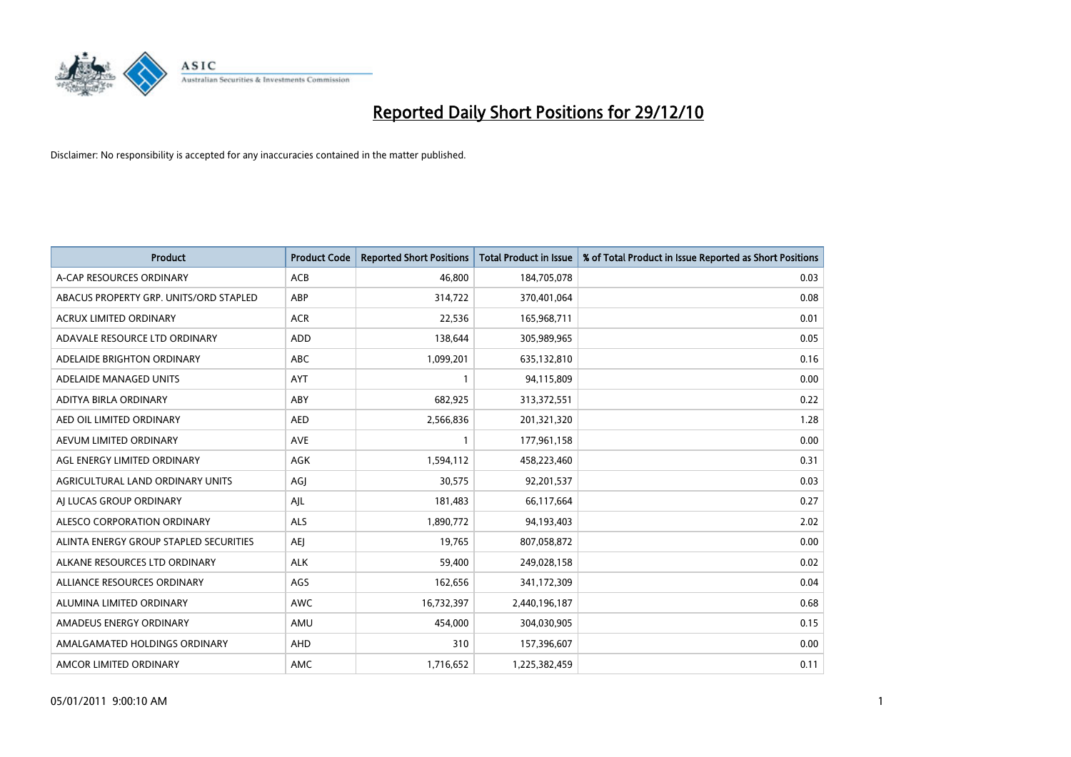

| Product                                | <b>Product Code</b> | <b>Reported Short Positions</b> | <b>Total Product in Issue</b> | % of Total Product in Issue Reported as Short Positions |
|----------------------------------------|---------------------|---------------------------------|-------------------------------|---------------------------------------------------------|
| A-CAP RESOURCES ORDINARY               | <b>ACB</b>          | 46.800                          | 184,705,078                   | 0.03                                                    |
| ABACUS PROPERTY GRP. UNITS/ORD STAPLED | ABP                 | 314,722                         | 370,401,064                   | 0.08                                                    |
| <b>ACRUX LIMITED ORDINARY</b>          | <b>ACR</b>          | 22,536                          | 165,968,711                   | 0.01                                                    |
| ADAVALE RESOURCE LTD ORDINARY          | <b>ADD</b>          | 138,644                         | 305,989,965                   | 0.05                                                    |
| ADELAIDE BRIGHTON ORDINARY             | <b>ABC</b>          | 1,099,201                       | 635,132,810                   | 0.16                                                    |
| ADELAIDE MANAGED UNITS                 | <b>AYT</b>          | 1                               | 94,115,809                    | 0.00                                                    |
| ADITYA BIRLA ORDINARY                  | <b>ABY</b>          | 682,925                         | 313,372,551                   | 0.22                                                    |
| AED OIL LIMITED ORDINARY               | <b>AED</b>          | 2,566,836                       | 201,321,320                   | 1.28                                                    |
| AEVUM LIMITED ORDINARY                 | <b>AVE</b>          | $\mathbf{1}$                    | 177,961,158                   | 0.00                                                    |
| AGL ENERGY LIMITED ORDINARY            | AGK                 | 1,594,112                       | 458,223,460                   | 0.31                                                    |
| AGRICULTURAL LAND ORDINARY UNITS       | AGJ                 | 30,575                          | 92,201,537                    | 0.03                                                    |
| AI LUCAS GROUP ORDINARY                | AJL                 | 181,483                         | 66,117,664                    | 0.27                                                    |
| ALESCO CORPORATION ORDINARY            | ALS                 | 1,890,772                       | 94,193,403                    | 2.02                                                    |
| ALINTA ENERGY GROUP STAPLED SECURITIES | <b>AEI</b>          | 19,765                          | 807,058,872                   | 0.00                                                    |
| ALKANE RESOURCES LTD ORDINARY          | <b>ALK</b>          | 59,400                          | 249,028,158                   | 0.02                                                    |
| ALLIANCE RESOURCES ORDINARY            | AGS                 | 162,656                         | 341,172,309                   | 0.04                                                    |
| ALUMINA LIMITED ORDINARY               | <b>AWC</b>          | 16,732,397                      | 2,440,196,187                 | 0.68                                                    |
| AMADEUS ENERGY ORDINARY                | AMU                 | 454,000                         | 304,030,905                   | 0.15                                                    |
| AMALGAMATED HOLDINGS ORDINARY          | AHD                 | 310                             | 157,396,607                   | 0.00                                                    |
| AMCOR LIMITED ORDINARY                 | <b>AMC</b>          | 1,716,652                       | 1,225,382,459                 | 0.11                                                    |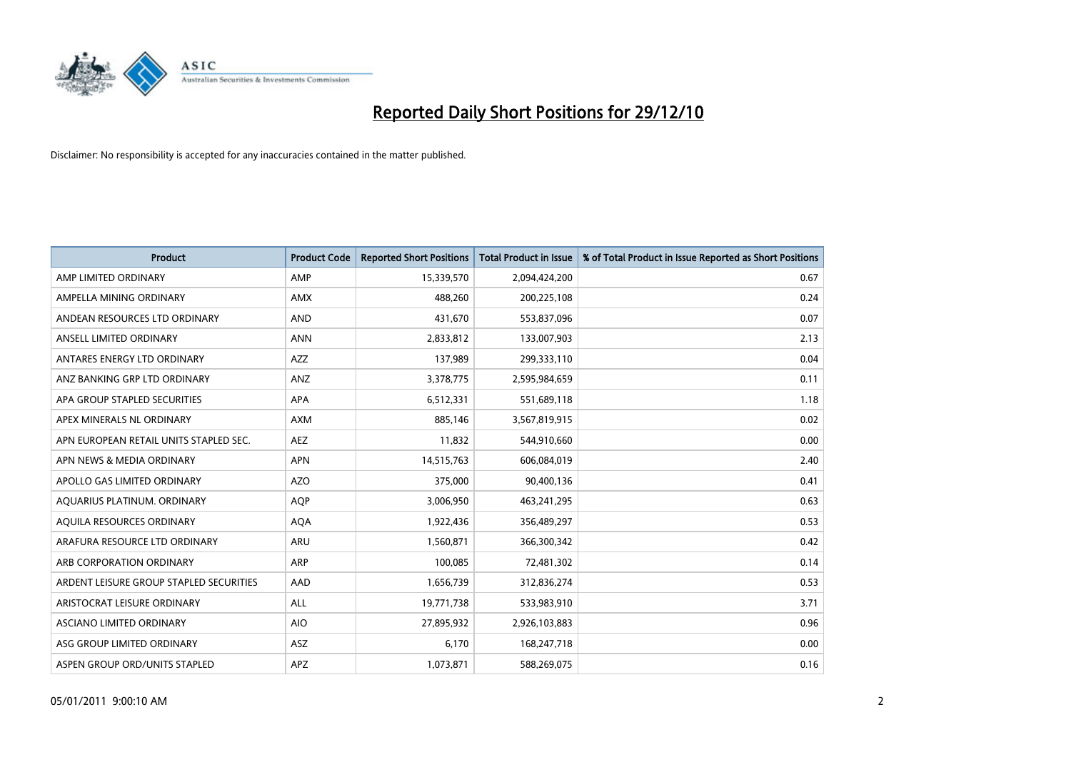

| Product                                 | <b>Product Code</b> | <b>Reported Short Positions</b> | <b>Total Product in Issue</b> | % of Total Product in Issue Reported as Short Positions |
|-----------------------------------------|---------------------|---------------------------------|-------------------------------|---------------------------------------------------------|
| AMP LIMITED ORDINARY                    | AMP                 | 15,339,570                      | 2,094,424,200                 | 0.67                                                    |
| AMPELLA MINING ORDINARY                 | AMX                 | 488,260                         | 200,225,108                   | 0.24                                                    |
| ANDEAN RESOURCES LTD ORDINARY           | <b>AND</b>          | 431,670                         | 553,837,096                   | 0.07                                                    |
| ANSELL LIMITED ORDINARY                 | <b>ANN</b>          | 2,833,812                       | 133,007,903                   | 2.13                                                    |
| ANTARES ENERGY LTD ORDINARY             | <b>AZZ</b>          | 137,989                         | 299,333,110                   | 0.04                                                    |
| ANZ BANKING GRP LTD ORDINARY            | ANZ                 | 3,378,775                       | 2,595,984,659                 | 0.11                                                    |
| APA GROUP STAPLED SECURITIES            | APA                 | 6,512,331                       | 551,689,118                   | 1.18                                                    |
| APEX MINERALS NL ORDINARY               | <b>AXM</b>          | 885,146                         | 3,567,819,915                 | 0.02                                                    |
| APN EUROPEAN RETAIL UNITS STAPLED SEC.  | <b>AEZ</b>          | 11,832                          | 544,910,660                   | 0.00                                                    |
| APN NEWS & MEDIA ORDINARY               | <b>APN</b>          | 14,515,763                      | 606,084,019                   | 2.40                                                    |
| APOLLO GAS LIMITED ORDINARY             | <b>AZO</b>          | 375,000                         | 90,400,136                    | 0.41                                                    |
| AQUARIUS PLATINUM. ORDINARY             | <b>AOP</b>          | 3,006,950                       | 463,241,295                   | 0.63                                                    |
| AQUILA RESOURCES ORDINARY               | <b>AQA</b>          | 1,922,436                       | 356,489,297                   | 0.53                                                    |
| ARAFURA RESOURCE LTD ORDINARY           | <b>ARU</b>          | 1,560,871                       | 366,300,342                   | 0.42                                                    |
| ARB CORPORATION ORDINARY                | <b>ARP</b>          | 100,085                         | 72,481,302                    | 0.14                                                    |
| ARDENT LEISURE GROUP STAPLED SECURITIES | AAD                 | 1,656,739                       | 312,836,274                   | 0.53                                                    |
| ARISTOCRAT LEISURE ORDINARY             | <b>ALL</b>          | 19,771,738                      | 533,983,910                   | 3.71                                                    |
| ASCIANO LIMITED ORDINARY                | <b>AIO</b>          | 27,895,932                      | 2,926,103,883                 | 0.96                                                    |
| ASG GROUP LIMITED ORDINARY              | ASZ                 | 6,170                           | 168,247,718                   | 0.00                                                    |
| ASPEN GROUP ORD/UNITS STAPLED           | APZ                 | 1,073,871                       | 588,269,075                   | 0.16                                                    |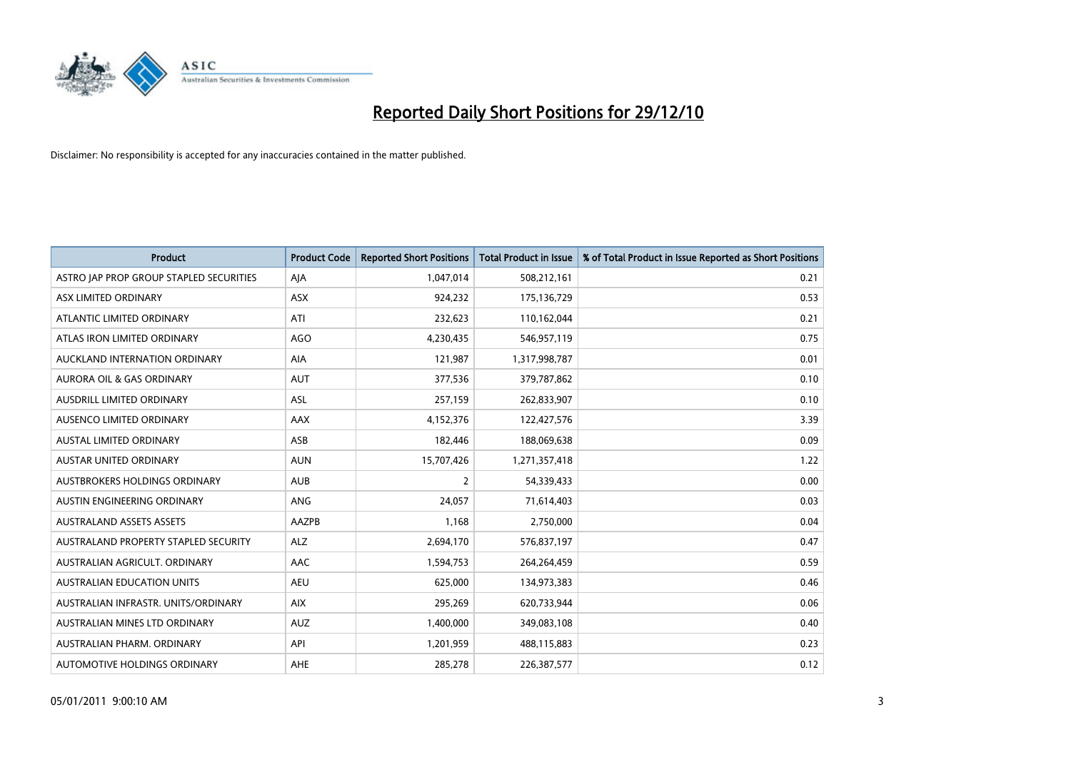

| Product                                 | <b>Product Code</b> | <b>Reported Short Positions</b> | <b>Total Product in Issue</b> | % of Total Product in Issue Reported as Short Positions |
|-----------------------------------------|---------------------|---------------------------------|-------------------------------|---------------------------------------------------------|
| ASTRO JAP PROP GROUP STAPLED SECURITIES | AJA                 | 1,047,014                       | 508,212,161                   | 0.21                                                    |
| ASX LIMITED ORDINARY                    | ASX                 | 924,232                         | 175,136,729                   | 0.53                                                    |
| ATLANTIC LIMITED ORDINARY               | ATI                 | 232,623                         | 110,162,044                   | 0.21                                                    |
| ATLAS IRON LIMITED ORDINARY             | <b>AGO</b>          | 4,230,435                       | 546,957,119                   | 0.75                                                    |
| AUCKLAND INTERNATION ORDINARY           | AIA                 | 121,987                         | 1,317,998,787                 | 0.01                                                    |
| <b>AURORA OIL &amp; GAS ORDINARY</b>    | <b>AUT</b>          | 377,536                         | 379,787,862                   | 0.10                                                    |
| AUSDRILL LIMITED ORDINARY               | ASL                 | 257,159                         | 262,833,907                   | 0.10                                                    |
| AUSENCO LIMITED ORDINARY                | AAX                 | 4,152,376                       | 122,427,576                   | 3.39                                                    |
| <b>AUSTAL LIMITED ORDINARY</b>          | ASB                 | 182,446                         | 188,069,638                   | 0.09                                                    |
| <b>AUSTAR UNITED ORDINARY</b>           | <b>AUN</b>          | 15,707,426                      | 1,271,357,418                 | 1.22                                                    |
| AUSTBROKERS HOLDINGS ORDINARY           | <b>AUB</b>          | $\overline{2}$                  | 54,339,433                    | 0.00                                                    |
| AUSTIN ENGINEERING ORDINARY             | <b>ANG</b>          | 24,057                          | 71,614,403                    | 0.03                                                    |
| <b>AUSTRALAND ASSETS ASSETS</b>         | AAZPB               | 1,168                           | 2,750,000                     | 0.04                                                    |
| AUSTRALAND PROPERTY STAPLED SECURITY    | <b>ALZ</b>          | 2,694,170                       | 576,837,197                   | 0.47                                                    |
| AUSTRALIAN AGRICULT. ORDINARY           | AAC                 | 1,594,753                       | 264,264,459                   | 0.59                                                    |
| <b>AUSTRALIAN EDUCATION UNITS</b>       | <b>AEU</b>          | 625,000                         | 134,973,383                   | 0.46                                                    |
| AUSTRALIAN INFRASTR. UNITS/ORDINARY     | <b>AIX</b>          | 295,269                         | 620,733,944                   | 0.06                                                    |
| AUSTRALIAN MINES LTD ORDINARY           | <b>AUZ</b>          | 1,400,000                       | 349,083,108                   | 0.40                                                    |
| AUSTRALIAN PHARM, ORDINARY              | API                 | 1,201,959                       | 488,115,883                   | 0.23                                                    |
| AUTOMOTIVE HOLDINGS ORDINARY            | <b>AHE</b>          | 285,278                         | 226,387,577                   | 0.12                                                    |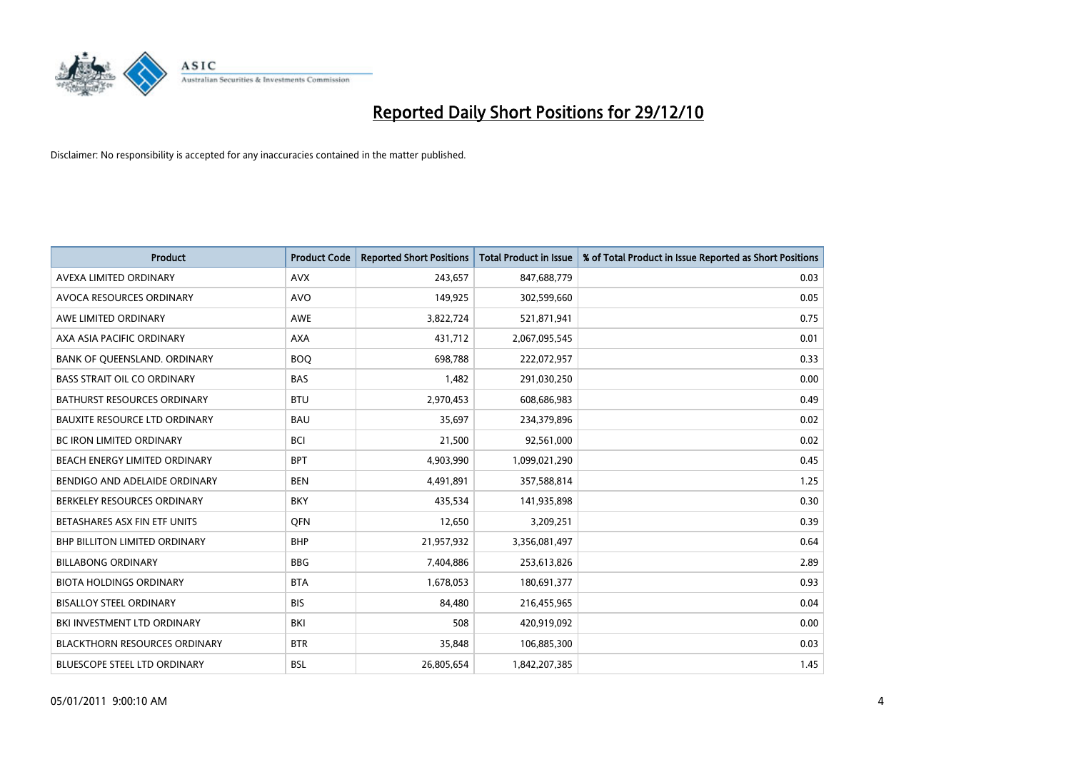

| Product                              | <b>Product Code</b> | <b>Reported Short Positions</b> | <b>Total Product in Issue</b> | % of Total Product in Issue Reported as Short Positions |
|--------------------------------------|---------------------|---------------------------------|-------------------------------|---------------------------------------------------------|
| AVEXA LIMITED ORDINARY               | <b>AVX</b>          | 243,657                         | 847,688,779                   | 0.03                                                    |
| AVOCA RESOURCES ORDINARY             | <b>AVO</b>          | 149,925                         | 302,599,660                   | 0.05                                                    |
| AWE LIMITED ORDINARY                 | <b>AWE</b>          | 3,822,724                       | 521,871,941                   | 0.75                                                    |
| AXA ASIA PACIFIC ORDINARY            | <b>AXA</b>          | 431,712                         | 2,067,095,545                 | 0.01                                                    |
| BANK OF QUEENSLAND. ORDINARY         | <b>BOO</b>          | 698,788                         | 222,072,957                   | 0.33                                                    |
| <b>BASS STRAIT OIL CO ORDINARY</b>   | <b>BAS</b>          | 1,482                           | 291,030,250                   | 0.00                                                    |
| <b>BATHURST RESOURCES ORDINARY</b>   | <b>BTU</b>          | 2,970,453                       | 608,686,983                   | 0.49                                                    |
| <b>BAUXITE RESOURCE LTD ORDINARY</b> | <b>BAU</b>          | 35,697                          | 234,379,896                   | 0.02                                                    |
| <b>BC IRON LIMITED ORDINARY</b>      | <b>BCI</b>          | 21,500                          | 92,561,000                    | 0.02                                                    |
| BEACH ENERGY LIMITED ORDINARY        | <b>BPT</b>          | 4,903,990                       | 1,099,021,290                 | 0.45                                                    |
| BENDIGO AND ADELAIDE ORDINARY        | <b>BEN</b>          | 4,491,891                       | 357,588,814                   | 1.25                                                    |
| BERKELEY RESOURCES ORDINARY          | <b>BKY</b>          | 435,534                         | 141,935,898                   | 0.30                                                    |
| BETASHARES ASX FIN ETF UNITS         | <b>OFN</b>          | 12,650                          | 3,209,251                     | 0.39                                                    |
| <b>BHP BILLITON LIMITED ORDINARY</b> | <b>BHP</b>          | 21,957,932                      | 3,356,081,497                 | 0.64                                                    |
| <b>BILLABONG ORDINARY</b>            | <b>BBG</b>          | 7,404,886                       | 253,613,826                   | 2.89                                                    |
| <b>BIOTA HOLDINGS ORDINARY</b>       | <b>BTA</b>          | 1,678,053                       | 180,691,377                   | 0.93                                                    |
| <b>BISALLOY STEEL ORDINARY</b>       | <b>BIS</b>          | 84,480                          | 216,455,965                   | 0.04                                                    |
| BKI INVESTMENT LTD ORDINARY          | BKI                 | 508                             | 420,919,092                   | 0.00                                                    |
| <b>BLACKTHORN RESOURCES ORDINARY</b> | <b>BTR</b>          | 35,848                          | 106,885,300                   | 0.03                                                    |
| BLUESCOPE STEEL LTD ORDINARY         | <b>BSL</b>          | 26,805,654                      | 1,842,207,385                 | 1.45                                                    |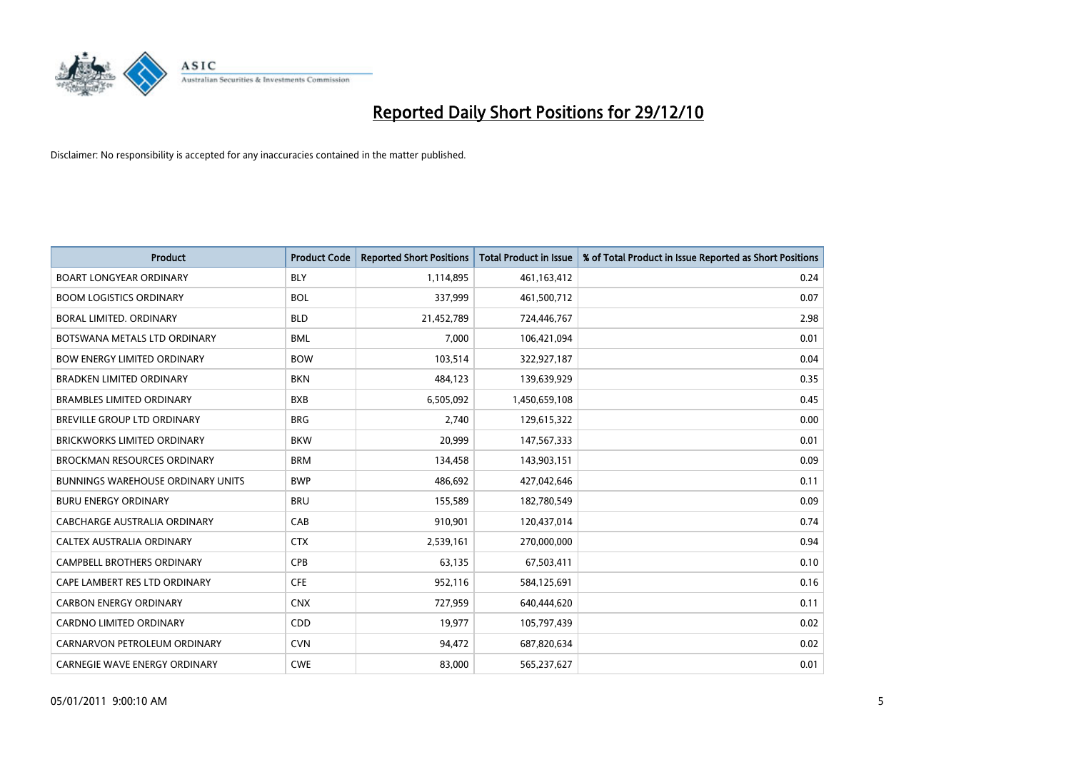

| Product                              | <b>Product Code</b> | <b>Reported Short Positions</b> | <b>Total Product in Issue</b> | % of Total Product in Issue Reported as Short Positions |
|--------------------------------------|---------------------|---------------------------------|-------------------------------|---------------------------------------------------------|
| <b>BOART LONGYEAR ORDINARY</b>       | <b>BLY</b>          | 1,114,895                       | 461,163,412                   | 0.24                                                    |
| <b>BOOM LOGISTICS ORDINARY</b>       | <b>BOL</b>          | 337,999                         | 461,500,712                   | 0.07                                                    |
| <b>BORAL LIMITED, ORDINARY</b>       | <b>BLD</b>          | 21,452,789                      | 724,446,767                   | 2.98                                                    |
| BOTSWANA METALS LTD ORDINARY         | <b>BML</b>          | 7,000                           | 106,421,094                   | 0.01                                                    |
| <b>BOW ENERGY LIMITED ORDINARY</b>   | <b>BOW</b>          | 103,514                         | 322,927,187                   | 0.04                                                    |
| <b>BRADKEN LIMITED ORDINARY</b>      | <b>BKN</b>          | 484,123                         | 139,639,929                   | 0.35                                                    |
| <b>BRAMBLES LIMITED ORDINARY</b>     | <b>BXB</b>          | 6,505,092                       | 1,450,659,108                 | 0.45                                                    |
| BREVILLE GROUP LTD ORDINARY          | <b>BRG</b>          | 2,740                           | 129,615,322                   | 0.00                                                    |
| <b>BRICKWORKS LIMITED ORDINARY</b>   | <b>BKW</b>          | 20,999                          | 147,567,333                   | 0.01                                                    |
| <b>BROCKMAN RESOURCES ORDINARY</b>   | <b>BRM</b>          | 134,458                         | 143,903,151                   | 0.09                                                    |
| BUNNINGS WAREHOUSE ORDINARY UNITS    | <b>BWP</b>          | 486,692                         | 427,042,646                   | 0.11                                                    |
| <b>BURU ENERGY ORDINARY</b>          | <b>BRU</b>          | 155,589                         | 182,780,549                   | 0.09                                                    |
| CABCHARGE AUSTRALIA ORDINARY         | CAB                 | 910,901                         | 120,437,014                   | 0.74                                                    |
| <b>CALTEX AUSTRALIA ORDINARY</b>     | <b>CTX</b>          | 2,539,161                       | 270,000,000                   | 0.94                                                    |
| <b>CAMPBELL BROTHERS ORDINARY</b>    | CPB                 | 63,135                          | 67,503,411                    | 0.10                                                    |
| CAPE LAMBERT RES LTD ORDINARY        | <b>CFE</b>          | 952,116                         | 584,125,691                   | 0.16                                                    |
| <b>CARBON ENERGY ORDINARY</b>        | <b>CNX</b>          | 727,959                         | 640,444,620                   | 0.11                                                    |
| CARDNO LIMITED ORDINARY              | CDD                 | 19,977                          | 105,797,439                   | 0.02                                                    |
| CARNARVON PETROLEUM ORDINARY         | <b>CVN</b>          | 94,472                          | 687,820,634                   | 0.02                                                    |
| <b>CARNEGIE WAVE ENERGY ORDINARY</b> | <b>CWE</b>          | 83,000                          | 565,237,627                   | 0.01                                                    |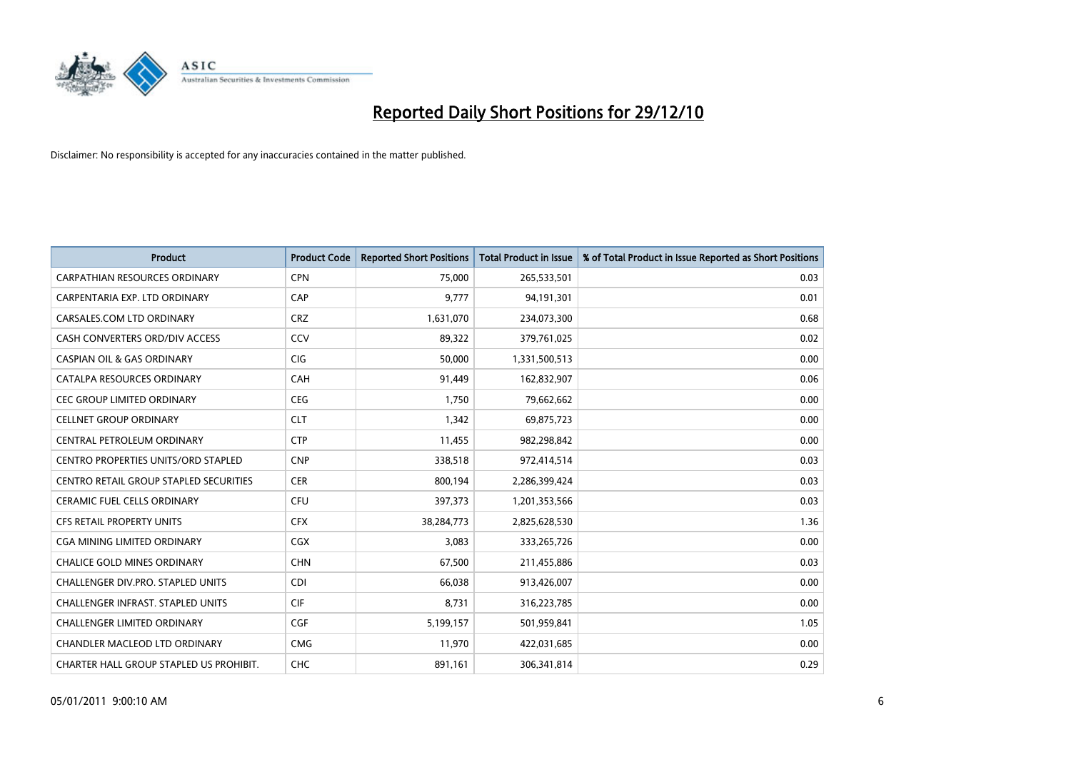

| Product                                    | <b>Product Code</b> | <b>Reported Short Positions</b> | <b>Total Product in Issue</b> | % of Total Product in Issue Reported as Short Positions |
|--------------------------------------------|---------------------|---------------------------------|-------------------------------|---------------------------------------------------------|
| <b>CARPATHIAN RESOURCES ORDINARY</b>       | <b>CPN</b>          | 75,000                          | 265,533,501                   | 0.03                                                    |
| CARPENTARIA EXP. LTD ORDINARY              | CAP                 | 9,777                           | 94,191,301                    | 0.01                                                    |
| CARSALES.COM LTD ORDINARY                  | <b>CRZ</b>          | 1,631,070                       | 234,073,300                   | 0.68                                                    |
| CASH CONVERTERS ORD/DIV ACCESS             | CCV                 | 89,322                          | 379,761,025                   | 0.02                                                    |
| <b>CASPIAN OIL &amp; GAS ORDINARY</b>      | <b>CIG</b>          | 50,000                          | 1,331,500,513                 | 0.00                                                    |
| CATALPA RESOURCES ORDINARY                 | CAH                 | 91,449                          | 162,832,907                   | 0.06                                                    |
| <b>CEC GROUP LIMITED ORDINARY</b>          | CEG                 | 1,750                           | 79,662,662                    | 0.00                                                    |
| <b>CELLNET GROUP ORDINARY</b>              | <b>CLT</b>          | 1,342                           | 69,875,723                    | 0.00                                                    |
| CENTRAL PETROLEUM ORDINARY                 | <b>CTP</b>          | 11,455                          | 982,298,842                   | 0.00                                                    |
| <b>CENTRO PROPERTIES UNITS/ORD STAPLED</b> | <b>CNP</b>          | 338,518                         | 972,414,514                   | 0.03                                                    |
| CENTRO RETAIL GROUP STAPLED SECURITIES     | <b>CER</b>          | 800,194                         | 2,286,399,424                 | 0.03                                                    |
| <b>CERAMIC FUEL CELLS ORDINARY</b>         | <b>CFU</b>          | 397,373                         | 1,201,353,566                 | 0.03                                                    |
| <b>CFS RETAIL PROPERTY UNITS</b>           | <b>CFX</b>          | 38,284,773                      | 2,825,628,530                 | 1.36                                                    |
| CGA MINING LIMITED ORDINARY                | <b>CGX</b>          | 3,083                           | 333,265,726                   | 0.00                                                    |
| <b>CHALICE GOLD MINES ORDINARY</b>         | <b>CHN</b>          | 67,500                          | 211,455,886                   | 0.03                                                    |
| CHALLENGER DIV.PRO. STAPLED UNITS          | <b>CDI</b>          | 66,038                          | 913,426,007                   | 0.00                                                    |
| <b>CHALLENGER INFRAST, STAPLED UNITS</b>   | <b>CIF</b>          | 8,731                           | 316,223,785                   | 0.00                                                    |
| <b>CHALLENGER LIMITED ORDINARY</b>         | <b>CGF</b>          | 5,199,157                       | 501,959,841                   | 1.05                                                    |
| <b>CHANDLER MACLEOD LTD ORDINARY</b>       | <b>CMG</b>          | 11,970                          | 422,031,685                   | 0.00                                                    |
| CHARTER HALL GROUP STAPLED US PROHIBIT.    | <b>CHC</b>          | 891,161                         | 306,341,814                   | 0.29                                                    |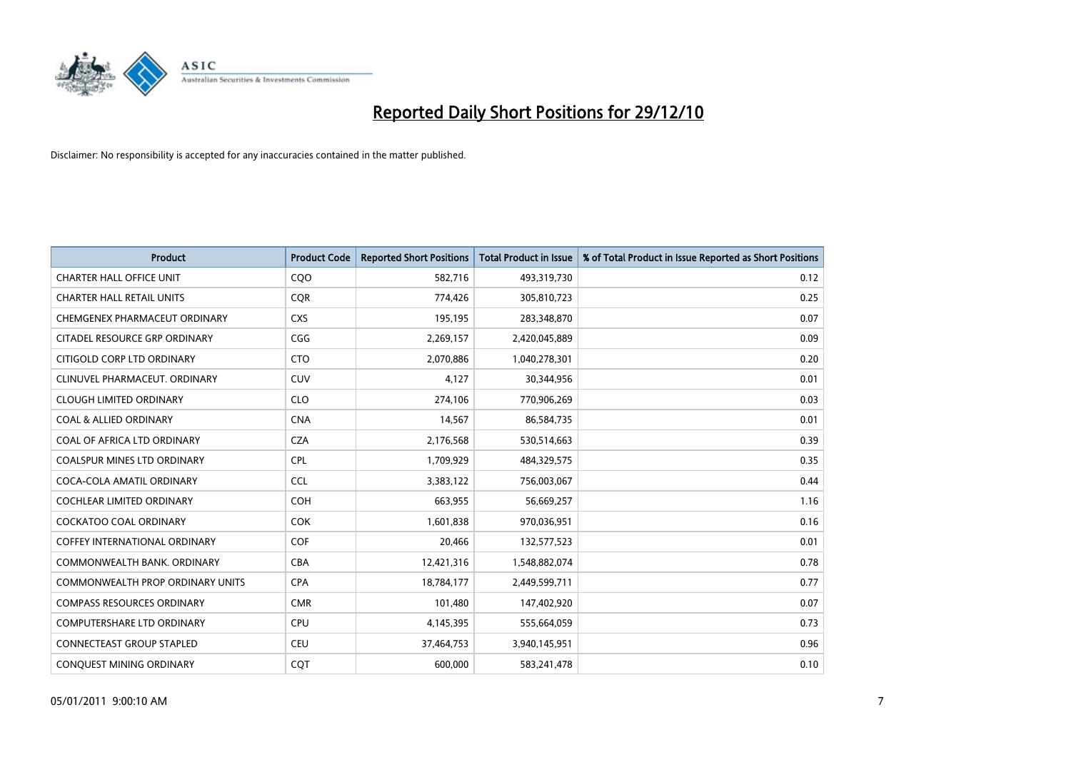

| Product                                 | <b>Product Code</b> | <b>Reported Short Positions</b> | <b>Total Product in Issue</b> | % of Total Product in Issue Reported as Short Positions |
|-----------------------------------------|---------------------|---------------------------------|-------------------------------|---------------------------------------------------------|
| <b>CHARTER HALL OFFICE UNIT</b>         | COO                 | 582,716                         | 493,319,730                   | 0.12                                                    |
| <b>CHARTER HALL RETAIL UNITS</b>        | <b>CQR</b>          | 774,426                         | 305,810,723                   | 0.25                                                    |
| CHEMGENEX PHARMACEUT ORDINARY           | <b>CXS</b>          | 195,195                         | 283,348,870                   | 0.07                                                    |
| CITADEL RESOURCE GRP ORDINARY           | CGG                 | 2,269,157                       | 2,420,045,889                 | 0.09                                                    |
| CITIGOLD CORP LTD ORDINARY              | <b>CTO</b>          | 2,070,886                       | 1,040,278,301                 | 0.20                                                    |
| CLINUVEL PHARMACEUT, ORDINARY           | CUV                 | 4,127                           | 30,344,956                    | 0.01                                                    |
| <b>CLOUGH LIMITED ORDINARY</b>          | <b>CLO</b>          | 274,106                         | 770,906,269                   | 0.03                                                    |
| <b>COAL &amp; ALLIED ORDINARY</b>       | <b>CNA</b>          | 14,567                          | 86,584,735                    | 0.01                                                    |
| COAL OF AFRICA LTD ORDINARY             | <b>CZA</b>          | 2,176,568                       | 530,514,663                   | 0.39                                                    |
| <b>COALSPUR MINES LTD ORDINARY</b>      | <b>CPL</b>          | 1,709,929                       | 484,329,575                   | 0.35                                                    |
| COCA-COLA AMATIL ORDINARY               | <b>CCL</b>          | 3,383,122                       | 756,003,067                   | 0.44                                                    |
| <b>COCHLEAR LIMITED ORDINARY</b>        | <b>COH</b>          | 663,955                         | 56,669,257                    | 1.16                                                    |
| <b>COCKATOO COAL ORDINARY</b>           | <b>COK</b>          | 1,601,838                       | 970,036,951                   | 0.16                                                    |
| <b>COFFEY INTERNATIONAL ORDINARY</b>    | <b>COF</b>          | 20,466                          | 132,577,523                   | 0.01                                                    |
| COMMONWEALTH BANK, ORDINARY             | <b>CBA</b>          | 12,421,316                      | 1,548,882,074                 | 0.78                                                    |
| <b>COMMONWEALTH PROP ORDINARY UNITS</b> | <b>CPA</b>          | 18,784,177                      | 2,449,599,711                 | 0.77                                                    |
| <b>COMPASS RESOURCES ORDINARY</b>       | <b>CMR</b>          | 101,480                         | 147,402,920                   | 0.07                                                    |
| <b>COMPUTERSHARE LTD ORDINARY</b>       | <b>CPU</b>          | 4,145,395                       | 555,664,059                   | 0.73                                                    |
| <b>CONNECTEAST GROUP STAPLED</b>        | <b>CEU</b>          | 37,464,753                      | 3,940,145,951                 | 0.96                                                    |
| CONQUEST MINING ORDINARY                | CQT                 | 600,000                         | 583,241,478                   | 0.10                                                    |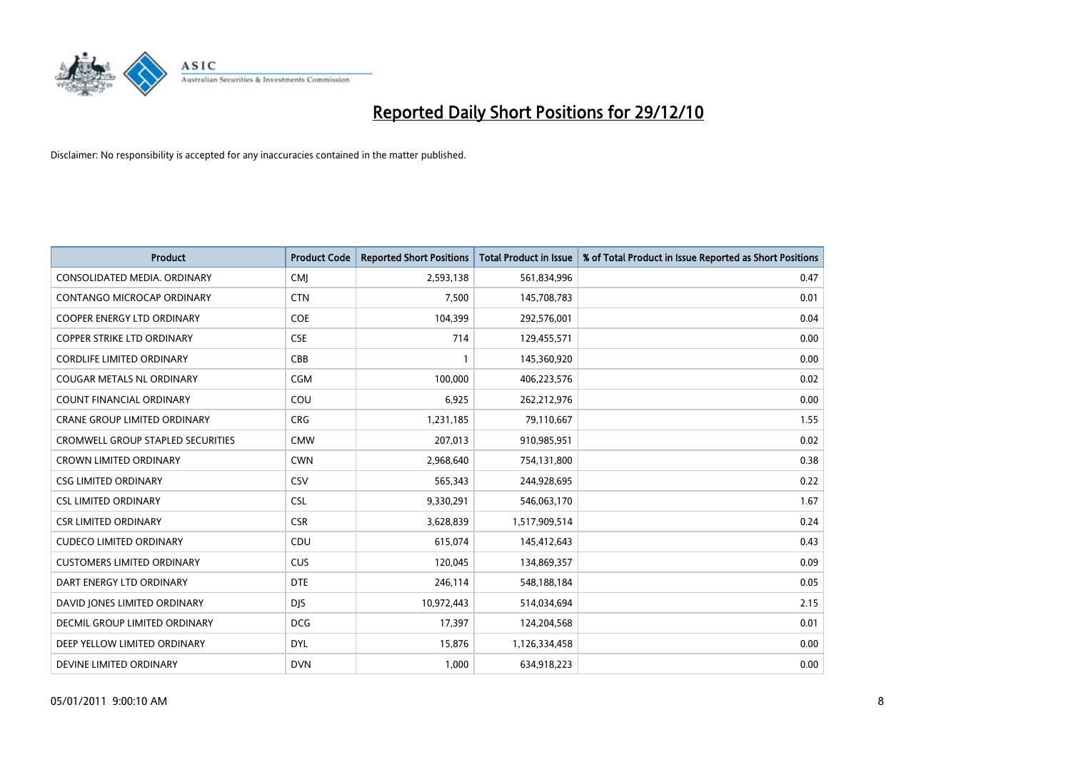

| Product                                  | <b>Product Code</b> | <b>Reported Short Positions</b> | <b>Total Product in Issue</b> | % of Total Product in Issue Reported as Short Positions |
|------------------------------------------|---------------------|---------------------------------|-------------------------------|---------------------------------------------------------|
| CONSOLIDATED MEDIA, ORDINARY             | CMJ                 | 2,593,138                       | 561,834,996                   | 0.47                                                    |
| CONTANGO MICROCAP ORDINARY               | <b>CTN</b>          | 7,500                           | 145,708,783                   | 0.01                                                    |
| COOPER ENERGY LTD ORDINARY               | <b>COE</b>          | 104,399                         | 292,576,001                   | 0.04                                                    |
| <b>COPPER STRIKE LTD ORDINARY</b>        | <b>CSE</b>          | 714                             | 129,455,571                   | 0.00                                                    |
| <b>CORDLIFE LIMITED ORDINARY</b>         | CBB                 | 1                               | 145,360,920                   | 0.00                                                    |
| <b>COUGAR METALS NL ORDINARY</b>         | CGM                 | 100,000                         | 406,223,576                   | 0.02                                                    |
| COUNT FINANCIAL ORDINARY                 | COU                 | 6,925                           | 262,212,976                   | 0.00                                                    |
| CRANE GROUP LIMITED ORDINARY             | <b>CRG</b>          | 1,231,185                       | 79,110,667                    | 1.55                                                    |
| <b>CROMWELL GROUP STAPLED SECURITIES</b> | <b>CMW</b>          | 207,013                         | 910,985,951                   | 0.02                                                    |
| <b>CROWN LIMITED ORDINARY</b>            | <b>CWN</b>          | 2,968,640                       | 754,131,800                   | 0.38                                                    |
| <b>CSG LIMITED ORDINARY</b>              | CSV                 | 565,343                         | 244,928,695                   | 0.22                                                    |
| <b>CSL LIMITED ORDINARY</b>              | <b>CSL</b>          | 9,330,291                       | 546,063,170                   | 1.67                                                    |
| <b>CSR LIMITED ORDINARY</b>              | <b>CSR</b>          | 3,628,839                       | 1,517,909,514                 | 0.24                                                    |
| <b>CUDECO LIMITED ORDINARY</b>           | CDU                 | 615,074                         | 145,412,643                   | 0.43                                                    |
| <b>CUSTOMERS LIMITED ORDINARY</b>        | <b>CUS</b>          | 120,045                         | 134,869,357                   | 0.09                                                    |
| DART ENERGY LTD ORDINARY                 | <b>DTE</b>          | 246,114                         | 548,188,184                   | 0.05                                                    |
| DAVID JONES LIMITED ORDINARY             | <b>DJS</b>          | 10,972,443                      | 514,034,694                   | 2.15                                                    |
| DECMIL GROUP LIMITED ORDINARY            | <b>DCG</b>          | 17,397                          | 124,204,568                   | 0.01                                                    |
| DEEP YELLOW LIMITED ORDINARY             | <b>DYL</b>          | 15,876                          | 1,126,334,458                 | 0.00                                                    |
| DEVINE LIMITED ORDINARY                  | <b>DVN</b>          | 1,000                           | 634,918,223                   | 0.00                                                    |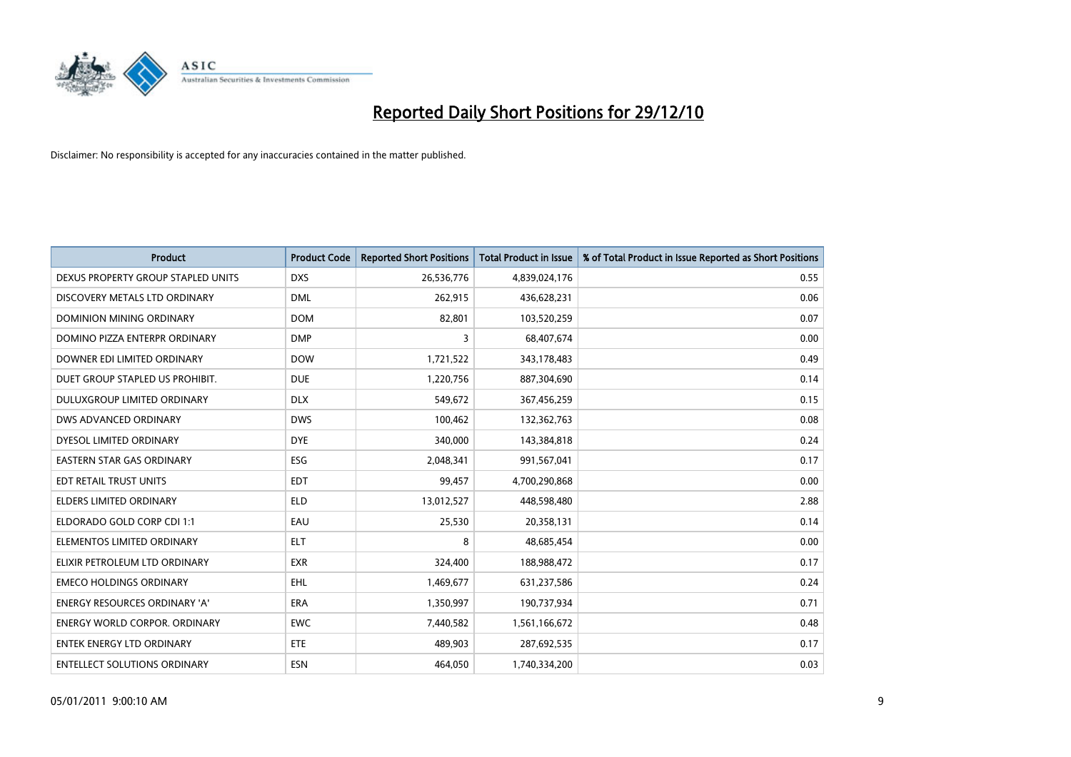

| <b>Product</b>                       | <b>Product Code</b> | <b>Reported Short Positions</b> | <b>Total Product in Issue</b> | % of Total Product in Issue Reported as Short Positions |
|--------------------------------------|---------------------|---------------------------------|-------------------------------|---------------------------------------------------------|
| DEXUS PROPERTY GROUP STAPLED UNITS   | <b>DXS</b>          | 26,536,776                      | 4,839,024,176                 | 0.55                                                    |
| DISCOVERY METALS LTD ORDINARY        | <b>DML</b>          | 262,915                         | 436,628,231                   | 0.06                                                    |
| <b>DOMINION MINING ORDINARY</b>      | <b>DOM</b>          | 82,801                          | 103,520,259                   | 0.07                                                    |
| DOMINO PIZZA ENTERPR ORDINARY        | <b>DMP</b>          | 3                               | 68,407,674                    | 0.00                                                    |
| DOWNER EDI LIMITED ORDINARY          | <b>DOW</b>          | 1,721,522                       | 343,178,483                   | 0.49                                                    |
| DUET GROUP STAPLED US PROHIBIT.      | <b>DUE</b>          | 1,220,756                       | 887,304,690                   | 0.14                                                    |
| DULUXGROUP LIMITED ORDINARY          | <b>DLX</b>          | 549,672                         | 367,456,259                   | 0.15                                                    |
| DWS ADVANCED ORDINARY                | <b>DWS</b>          | 100,462                         | 132,362,763                   | 0.08                                                    |
| DYESOL LIMITED ORDINARY              | <b>DYE</b>          | 340,000                         | 143,384,818                   | 0.24                                                    |
| <b>EASTERN STAR GAS ORDINARY</b>     | <b>ESG</b>          | 2,048,341                       | 991,567,041                   | 0.17                                                    |
| EDT RETAIL TRUST UNITS               | <b>EDT</b>          | 99,457                          | 4,700,290,868                 | 0.00                                                    |
| <b>ELDERS LIMITED ORDINARY</b>       | <b>ELD</b>          | 13,012,527                      | 448,598,480                   | 2.88                                                    |
| ELDORADO GOLD CORP CDI 1:1           | EAU                 | 25,530                          | 20,358,131                    | 0.14                                                    |
| ELEMENTOS LIMITED ORDINARY           | <b>ELT</b>          | 8                               | 48,685,454                    | 0.00                                                    |
| ELIXIR PETROLEUM LTD ORDINARY        | <b>EXR</b>          | 324,400                         | 188,988,472                   | 0.17                                                    |
| <b>EMECO HOLDINGS ORDINARY</b>       | EHL                 | 1,469,677                       | 631,237,586                   | 0.24                                                    |
| ENERGY RESOURCES ORDINARY 'A'        | ERA                 | 1,350,997                       | 190,737,934                   | 0.71                                                    |
| <b>ENERGY WORLD CORPOR, ORDINARY</b> | <b>EWC</b>          | 7,440,582                       | 1,561,166,672                 | 0.48                                                    |
| <b>ENTEK ENERGY LTD ORDINARY</b>     | <b>ETE</b>          | 489,903                         | 287,692,535                   | 0.17                                                    |
| <b>ENTELLECT SOLUTIONS ORDINARY</b>  | <b>ESN</b>          | 464,050                         | 1,740,334,200                 | 0.03                                                    |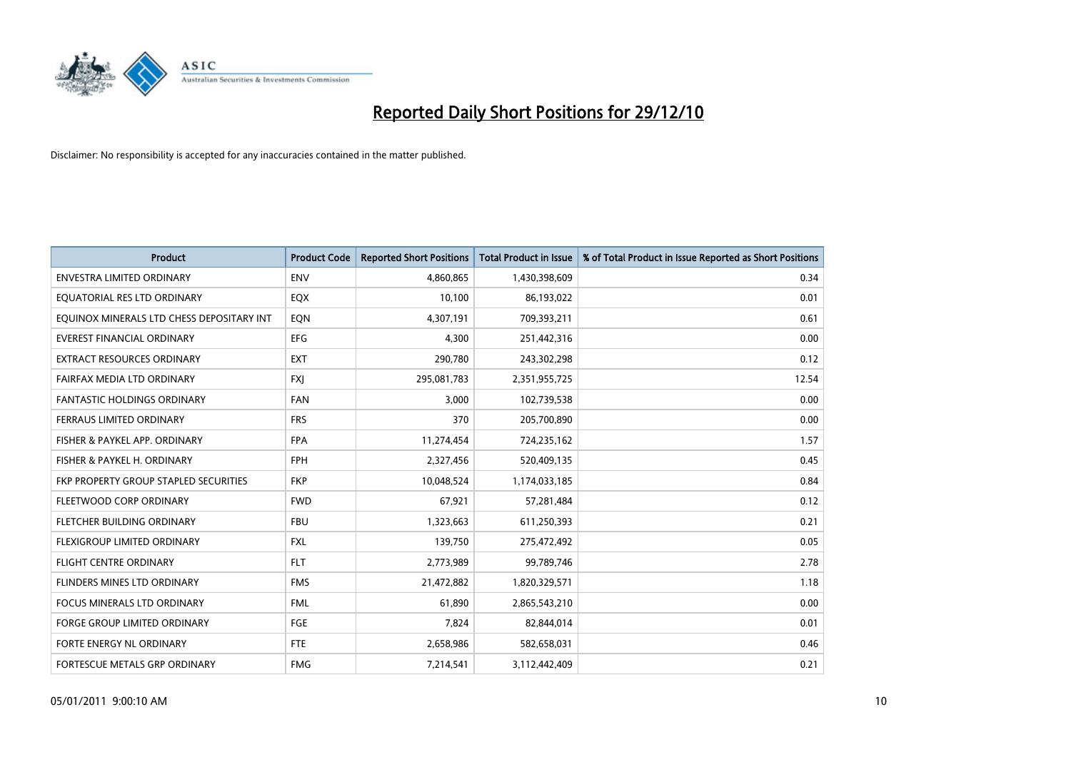

| Product                                   | <b>Product Code</b> | <b>Reported Short Positions</b> | <b>Total Product in Issue</b> | % of Total Product in Issue Reported as Short Positions |
|-------------------------------------------|---------------------|---------------------------------|-------------------------------|---------------------------------------------------------|
| <b>ENVESTRA LIMITED ORDINARY</b>          | <b>ENV</b>          | 4,860,865                       | 1,430,398,609                 | 0.34                                                    |
| EQUATORIAL RES LTD ORDINARY               | EQX                 | 10,100                          | 86,193,022                    | 0.01                                                    |
| EQUINOX MINERALS LTD CHESS DEPOSITARY INT | EON                 | 4,307,191                       | 709,393,211                   | 0.61                                                    |
| <b>EVEREST FINANCIAL ORDINARY</b>         | <b>EFG</b>          | 4.300                           | 251,442,316                   | 0.00                                                    |
| <b>EXTRACT RESOURCES ORDINARY</b>         | <b>EXT</b>          | 290,780                         | 243,302,298                   | 0.12                                                    |
| FAIRFAX MEDIA LTD ORDINARY                | <b>FXI</b>          | 295,081,783                     | 2,351,955,725                 | 12.54                                                   |
| <b>FANTASTIC HOLDINGS ORDINARY</b>        | <b>FAN</b>          | 3,000                           | 102,739,538                   | 0.00                                                    |
| FERRAUS LIMITED ORDINARY                  | <b>FRS</b>          | 370                             | 205,700,890                   | 0.00                                                    |
| FISHER & PAYKEL APP. ORDINARY             | <b>FPA</b>          | 11,274,454                      | 724,235,162                   | 1.57                                                    |
| FISHER & PAYKEL H. ORDINARY               | FPH                 | 2,327,456                       | 520,409,135                   | 0.45                                                    |
| FKP PROPERTY GROUP STAPLED SECURITIES     | <b>FKP</b>          | 10,048,524                      | 1,174,033,185                 | 0.84                                                    |
| FLEETWOOD CORP ORDINARY                   | <b>FWD</b>          | 67,921                          | 57,281,484                    | 0.12                                                    |
| FLETCHER BUILDING ORDINARY                | <b>FBU</b>          | 1,323,663                       | 611,250,393                   | 0.21                                                    |
| FLEXIGROUP LIMITED ORDINARY               | FXL                 | 139,750                         | 275,472,492                   | 0.05                                                    |
| <b>FLIGHT CENTRE ORDINARY</b>             | <b>FLT</b>          | 2,773,989                       | 99,789,746                    | 2.78                                                    |
| FLINDERS MINES LTD ORDINARY               | <b>FMS</b>          | 21,472,882                      | 1,820,329,571                 | 1.18                                                    |
| <b>FOCUS MINERALS LTD ORDINARY</b>        | <b>FML</b>          | 61,890                          | 2,865,543,210                 | 0.00                                                    |
| <b>FORGE GROUP LIMITED ORDINARY</b>       | FGE                 | 7,824                           | 82,844,014                    | 0.01                                                    |
| FORTE ENERGY NL ORDINARY                  | FTE                 | 2,658,986                       | 582,658,031                   | 0.46                                                    |
| FORTESCUE METALS GRP ORDINARY             | <b>FMG</b>          | 7,214,541                       | 3,112,442,409                 | 0.21                                                    |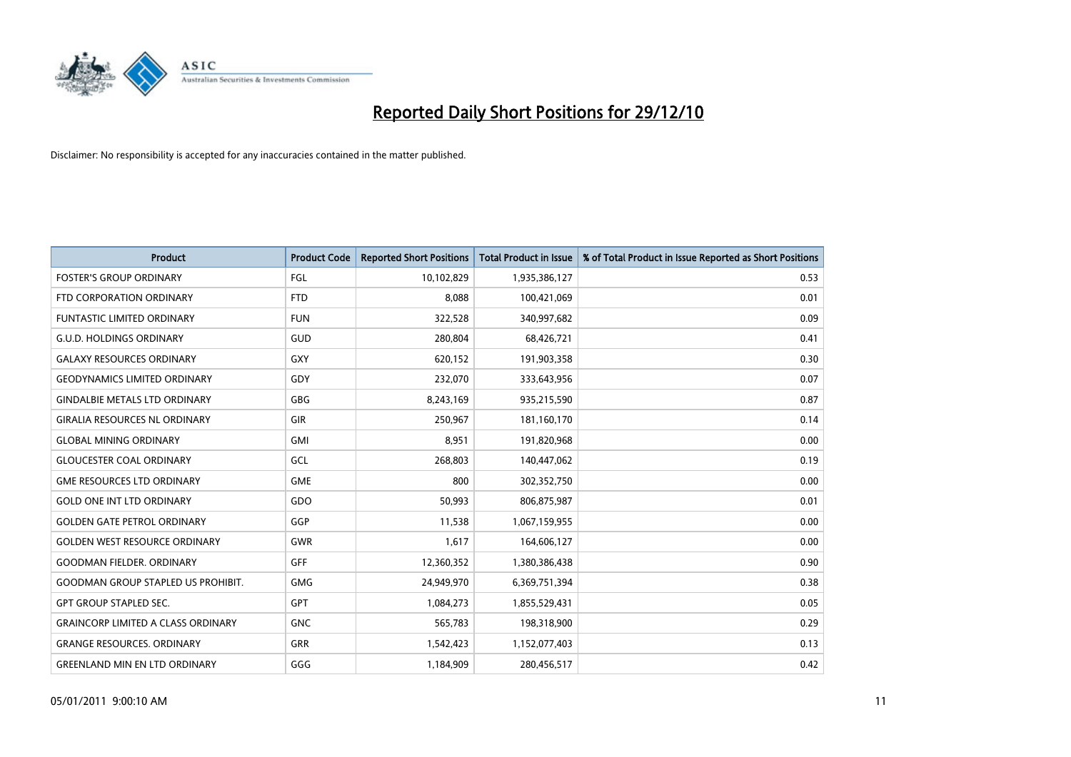

| <b>Product</b>                            | <b>Product Code</b> | <b>Reported Short Positions</b> | <b>Total Product in Issue</b> | % of Total Product in Issue Reported as Short Positions |
|-------------------------------------------|---------------------|---------------------------------|-------------------------------|---------------------------------------------------------|
| <b>FOSTER'S GROUP ORDINARY</b>            | <b>FGL</b>          | 10,102,829                      | 1,935,386,127                 | 0.53                                                    |
| FTD CORPORATION ORDINARY                  | <b>FTD</b>          | 8,088                           | 100,421,069                   | 0.01                                                    |
| FUNTASTIC LIMITED ORDINARY                | <b>FUN</b>          | 322,528                         | 340,997,682                   | 0.09                                                    |
| <b>G.U.D. HOLDINGS ORDINARY</b>           | GUD                 | 280,804                         | 68,426,721                    | 0.41                                                    |
| <b>GALAXY RESOURCES ORDINARY</b>          | <b>GXY</b>          | 620,152                         | 191,903,358                   | 0.30                                                    |
| <b>GEODYNAMICS LIMITED ORDINARY</b>       | GDY                 | 232,070                         | 333,643,956                   | 0.07                                                    |
| <b>GINDALBIE METALS LTD ORDINARY</b>      | GBG                 | 8,243,169                       | 935,215,590                   | 0.87                                                    |
| <b>GIRALIA RESOURCES NL ORDINARY</b>      | <b>GIR</b>          | 250,967                         | 181,160,170                   | 0.14                                                    |
| <b>GLOBAL MINING ORDINARY</b>             | <b>GMI</b>          | 8,951                           | 191,820,968                   | 0.00                                                    |
| <b>GLOUCESTER COAL ORDINARY</b>           | GCL                 | 268,803                         | 140,447,062                   | 0.19                                                    |
| <b>GME RESOURCES LTD ORDINARY</b>         | <b>GME</b>          | 800                             | 302,352,750                   | 0.00                                                    |
| <b>GOLD ONE INT LTD ORDINARY</b>          | GDO                 | 50,993                          | 806,875,987                   | 0.01                                                    |
| <b>GOLDEN GATE PETROL ORDINARY</b>        | GGP                 | 11,538                          | 1,067,159,955                 | 0.00                                                    |
| <b>GOLDEN WEST RESOURCE ORDINARY</b>      | <b>GWR</b>          | 1,617                           | 164,606,127                   | 0.00                                                    |
| <b>GOODMAN FIELDER, ORDINARY</b>          | <b>GFF</b>          | 12,360,352                      | 1,380,386,438                 | 0.90                                                    |
| <b>GOODMAN GROUP STAPLED US PROHIBIT.</b> | GMG                 | 24,949,970                      | 6,369,751,394                 | 0.38                                                    |
| <b>GPT GROUP STAPLED SEC.</b>             | GPT                 | 1,084,273                       | 1,855,529,431                 | 0.05                                                    |
| <b>GRAINCORP LIMITED A CLASS ORDINARY</b> | <b>GNC</b>          | 565,783                         | 198,318,900                   | 0.29                                                    |
| <b>GRANGE RESOURCES, ORDINARY</b>         | <b>GRR</b>          | 1,542,423                       | 1,152,077,403                 | 0.13                                                    |
| <b>GREENLAND MIN EN LTD ORDINARY</b>      | GGG                 | 1,184,909                       | 280,456,517                   | 0.42                                                    |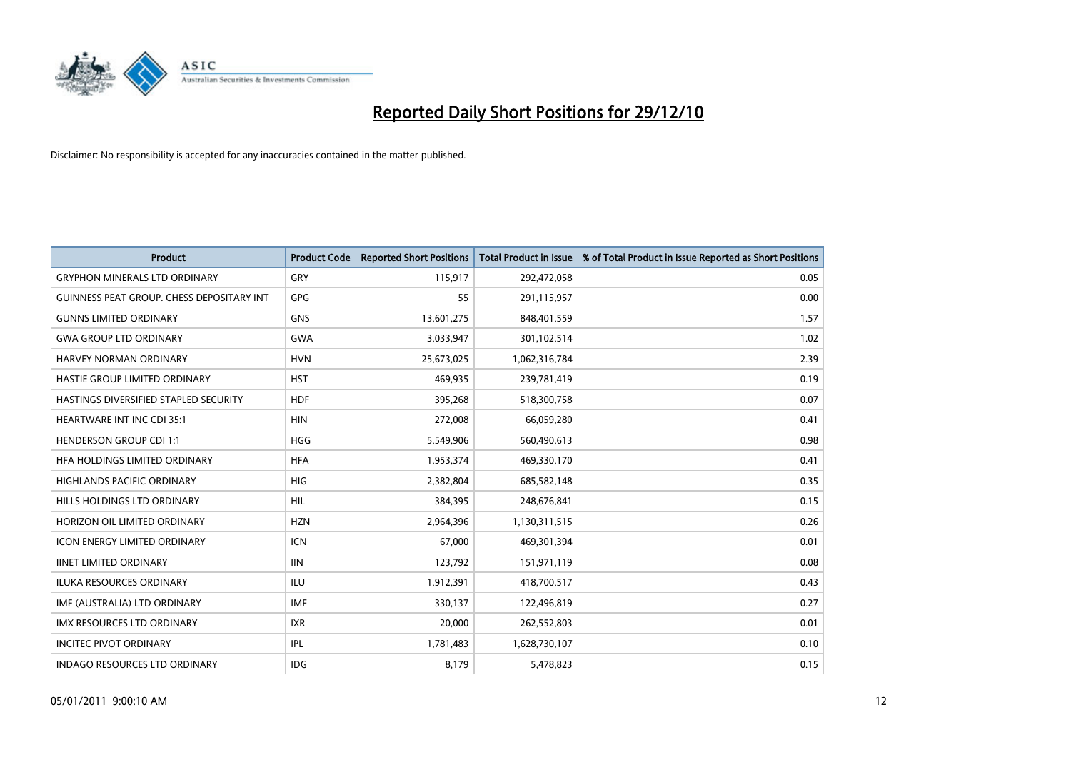

| <b>Product</b>                                   | <b>Product Code</b> | <b>Reported Short Positions</b> | <b>Total Product in Issue</b> | % of Total Product in Issue Reported as Short Positions |
|--------------------------------------------------|---------------------|---------------------------------|-------------------------------|---------------------------------------------------------|
| <b>GRYPHON MINERALS LTD ORDINARY</b>             | GRY                 | 115,917                         | 292,472,058                   | 0.05                                                    |
| <b>GUINNESS PEAT GROUP. CHESS DEPOSITARY INT</b> | <b>GPG</b>          | 55                              | 291,115,957                   | 0.00                                                    |
| <b>GUNNS LIMITED ORDINARY</b>                    | <b>GNS</b>          | 13,601,275                      | 848,401,559                   | 1.57                                                    |
| <b>GWA GROUP LTD ORDINARY</b>                    | <b>GWA</b>          | 3,033,947                       | 301,102,514                   | 1.02                                                    |
| HARVEY NORMAN ORDINARY                           | <b>HVN</b>          | 25,673,025                      | 1,062,316,784                 | 2.39                                                    |
| HASTIE GROUP LIMITED ORDINARY                    | <b>HST</b>          | 469,935                         | 239,781,419                   | 0.19                                                    |
| HASTINGS DIVERSIFIED STAPLED SECURITY            | <b>HDF</b>          | 395,268                         | 518,300,758                   | 0.07                                                    |
| HEARTWARE INT INC CDI 35:1                       | <b>HIN</b>          | 272,008                         | 66,059,280                    | 0.41                                                    |
| <b>HENDERSON GROUP CDI 1:1</b>                   | <b>HGG</b>          | 5,549,906                       | 560,490,613                   | 0.98                                                    |
| HFA HOLDINGS LIMITED ORDINARY                    | <b>HFA</b>          | 1,953,374                       | 469,330,170                   | 0.41                                                    |
| HIGHLANDS PACIFIC ORDINARY                       | <b>HIG</b>          | 2,382,804                       | 685,582,148                   | 0.35                                                    |
| <b>HILLS HOLDINGS LTD ORDINARY</b>               | <b>HIL</b>          | 384,395                         | 248,676,841                   | 0.15                                                    |
| HORIZON OIL LIMITED ORDINARY                     | <b>HZN</b>          | 2,964,396                       | 1,130,311,515                 | 0.26                                                    |
| <b>ICON ENERGY LIMITED ORDINARY</b>              | <b>ICN</b>          | 67,000                          | 469,301,394                   | 0.01                                                    |
| <b>IINET LIMITED ORDINARY</b>                    | <b>IIN</b>          | 123,792                         | 151,971,119                   | 0.08                                                    |
| ILUKA RESOURCES ORDINARY                         | ILU                 | 1,912,391                       | 418,700,517                   | 0.43                                                    |
| IMF (AUSTRALIA) LTD ORDINARY                     | <b>IMF</b>          | 330,137                         | 122,496,819                   | 0.27                                                    |
| IMX RESOURCES LTD ORDINARY                       | <b>IXR</b>          | 20,000                          | 262,552,803                   | 0.01                                                    |
| <b>INCITEC PIVOT ORDINARY</b>                    | <b>IPL</b>          | 1,781,483                       | 1,628,730,107                 | 0.10                                                    |
| INDAGO RESOURCES LTD ORDINARY                    | <b>IDG</b>          | 8,179                           | 5,478,823                     | 0.15                                                    |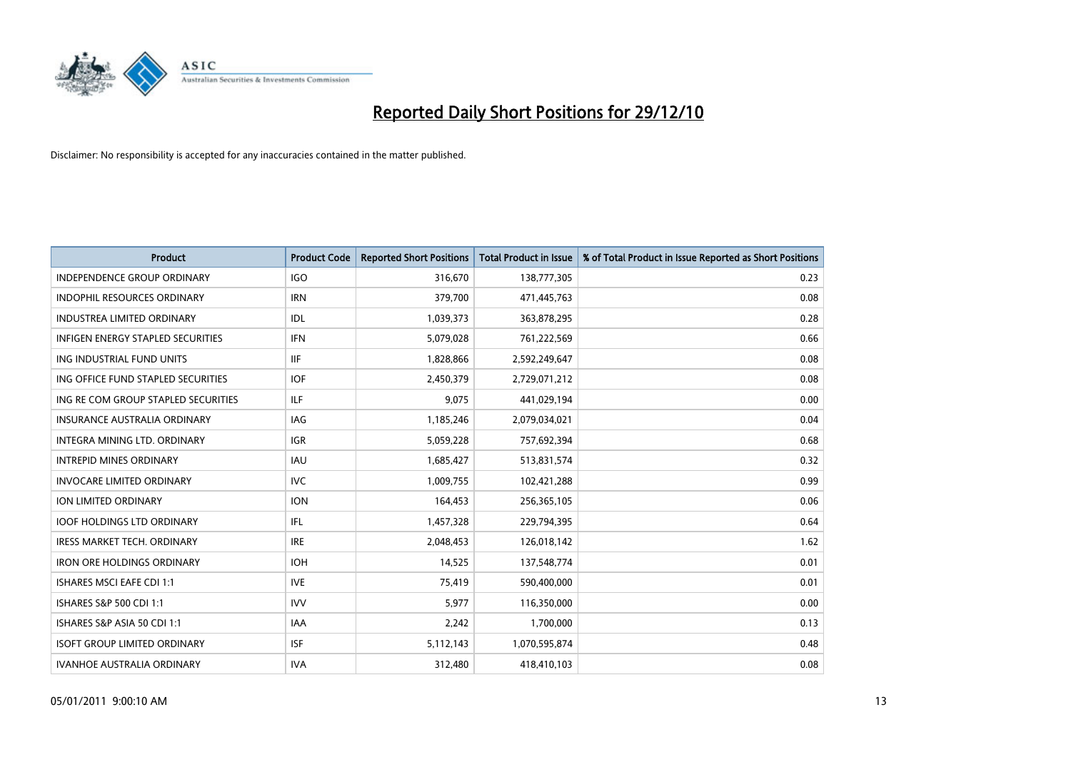

| Product                                  | <b>Product Code</b> | <b>Reported Short Positions</b> | <b>Total Product in Issue</b> | % of Total Product in Issue Reported as Short Positions |
|------------------------------------------|---------------------|---------------------------------|-------------------------------|---------------------------------------------------------|
| <b>INDEPENDENCE GROUP ORDINARY</b>       | <b>IGO</b>          | 316,670                         | 138,777,305                   | 0.23                                                    |
| INDOPHIL RESOURCES ORDINARY              | <b>IRN</b>          | 379,700                         | 471,445,763                   | 0.08                                                    |
| <b>INDUSTREA LIMITED ORDINARY</b>        | IDL                 | 1,039,373                       | 363,878,295                   | 0.28                                                    |
| <b>INFIGEN ENERGY STAPLED SECURITIES</b> | <b>IFN</b>          | 5,079,028                       | 761,222,569                   | 0.66                                                    |
| ING INDUSTRIAL FUND UNITS                | IIF                 | 1,828,866                       | 2,592,249,647                 | 0.08                                                    |
| ING OFFICE FUND STAPLED SECURITIES       | <b>IOF</b>          | 2,450,379                       | 2,729,071,212                 | 0.08                                                    |
| ING RE COM GROUP STAPLED SECURITIES      | ILF.                | 9,075                           | 441,029,194                   | 0.00                                                    |
| <b>INSURANCE AUSTRALIA ORDINARY</b>      | <b>IAG</b>          | 1,185,246                       | 2,079,034,021                 | 0.04                                                    |
| INTEGRA MINING LTD, ORDINARY             | <b>IGR</b>          | 5,059,228                       | 757,692,394                   | 0.68                                                    |
| <b>INTREPID MINES ORDINARY</b>           | <b>IAU</b>          | 1,685,427                       | 513,831,574                   | 0.32                                                    |
| <b>INVOCARE LIMITED ORDINARY</b>         | <b>IVC</b>          | 1,009,755                       | 102,421,288                   | 0.99                                                    |
| <b>ION LIMITED ORDINARY</b>              | <b>ION</b>          | 164,453                         | 256,365,105                   | 0.06                                                    |
| <b>IOOF HOLDINGS LTD ORDINARY</b>        | IFL                 | 1,457,328                       | 229,794,395                   | 0.64                                                    |
| <b>IRESS MARKET TECH. ORDINARY</b>       | <b>IRE</b>          | 2,048,453                       | 126,018,142                   | 1.62                                                    |
| <b>IRON ORE HOLDINGS ORDINARY</b>        | <b>IOH</b>          | 14,525                          | 137,548,774                   | 0.01                                                    |
| <b>ISHARES MSCI EAFE CDI 1:1</b>         | <b>IVE</b>          | 75,419                          | 590,400,000                   | 0.01                                                    |
| ISHARES S&P 500 CDI 1:1                  | <b>IVV</b>          | 5,977                           | 116,350,000                   | 0.00                                                    |
| ISHARES S&P ASIA 50 CDI 1:1              | IAA                 | 2,242                           | 1,700,000                     | 0.13                                                    |
| <b>ISOFT GROUP LIMITED ORDINARY</b>      | <b>ISF</b>          | 5,112,143                       | 1,070,595,874                 | 0.48                                                    |
| <b>IVANHOE AUSTRALIA ORDINARY</b>        | <b>IVA</b>          | 312,480                         | 418,410,103                   | 0.08                                                    |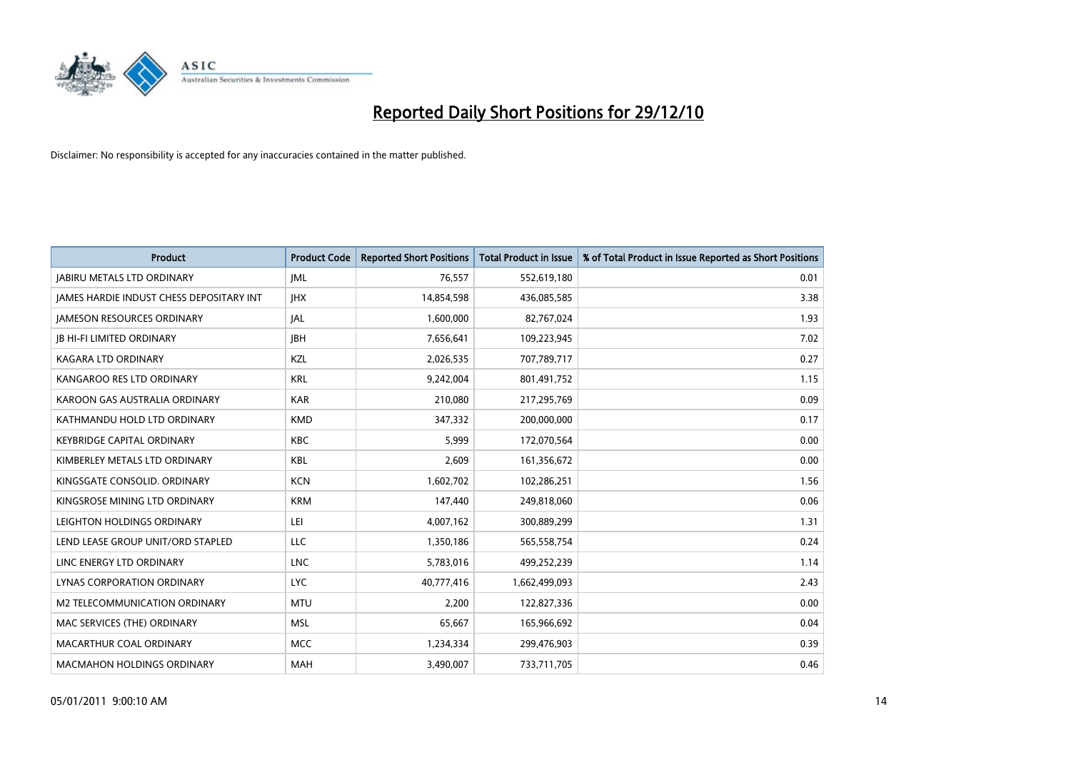

| Product                                  | <b>Product Code</b> | <b>Reported Short Positions</b> | <b>Total Product in Issue</b> | % of Total Product in Issue Reported as Short Positions |
|------------------------------------------|---------------------|---------------------------------|-------------------------------|---------------------------------------------------------|
| <b>JABIRU METALS LTD ORDINARY</b>        | <b>JML</b>          | 76,557                          | 552,619,180                   | 0.01                                                    |
| JAMES HARDIE INDUST CHESS DEPOSITARY INT | <b>IHX</b>          | 14,854,598                      | 436,085,585                   | 3.38                                                    |
| <b>JAMESON RESOURCES ORDINARY</b>        | JAL                 | 1,600,000                       | 82,767,024                    | 1.93                                                    |
| <b>JB HI-FI LIMITED ORDINARY</b>         | <b>IBH</b>          | 7,656,641                       | 109,223,945                   | 7.02                                                    |
| <b>KAGARA LTD ORDINARY</b>               | KZL                 | 2,026,535                       | 707,789,717                   | 0.27                                                    |
| KANGAROO RES LTD ORDINARY                | <b>KRL</b>          | 9,242,004                       | 801,491,752                   | 1.15                                                    |
| KAROON GAS AUSTRALIA ORDINARY            | <b>KAR</b>          | 210,080                         | 217,295,769                   | 0.09                                                    |
| KATHMANDU HOLD LTD ORDINARY              | <b>KMD</b>          | 347,332                         | 200,000,000                   | 0.17                                                    |
| <b>KEYBRIDGE CAPITAL ORDINARY</b>        | KBC                 | 5,999                           | 172,070,564                   | 0.00                                                    |
| KIMBERLEY METALS LTD ORDINARY            | KBL                 | 2,609                           | 161,356,672                   | 0.00                                                    |
| KINGSGATE CONSOLID. ORDINARY             | <b>KCN</b>          | 1,602,702                       | 102,286,251                   | 1.56                                                    |
| KINGSROSE MINING LTD ORDINARY            | <b>KRM</b>          | 147,440                         | 249,818,060                   | 0.06                                                    |
| LEIGHTON HOLDINGS ORDINARY               | LEI                 | 4,007,162                       | 300,889,299                   | 1.31                                                    |
| LEND LEASE GROUP UNIT/ORD STAPLED        | <b>LLC</b>          | 1,350,186                       | 565,558,754                   | 0.24                                                    |
| LINC ENERGY LTD ORDINARY                 | <b>LNC</b>          | 5,783,016                       | 499,252,239                   | 1.14                                                    |
| LYNAS CORPORATION ORDINARY               | <b>LYC</b>          | 40,777,416                      | 1,662,499,093                 | 2.43                                                    |
| M2 TELECOMMUNICATION ORDINARY            | <b>MTU</b>          | 2,200                           | 122,827,336                   | 0.00                                                    |
| MAC SERVICES (THE) ORDINARY              | <b>MSL</b>          | 65,667                          | 165,966,692                   | 0.04                                                    |
| MACARTHUR COAL ORDINARY                  | <b>MCC</b>          | 1,234,334                       | 299,476,903                   | 0.39                                                    |
| <b>MACMAHON HOLDINGS ORDINARY</b>        | <b>MAH</b>          | 3,490,007                       | 733,711,705                   | 0.46                                                    |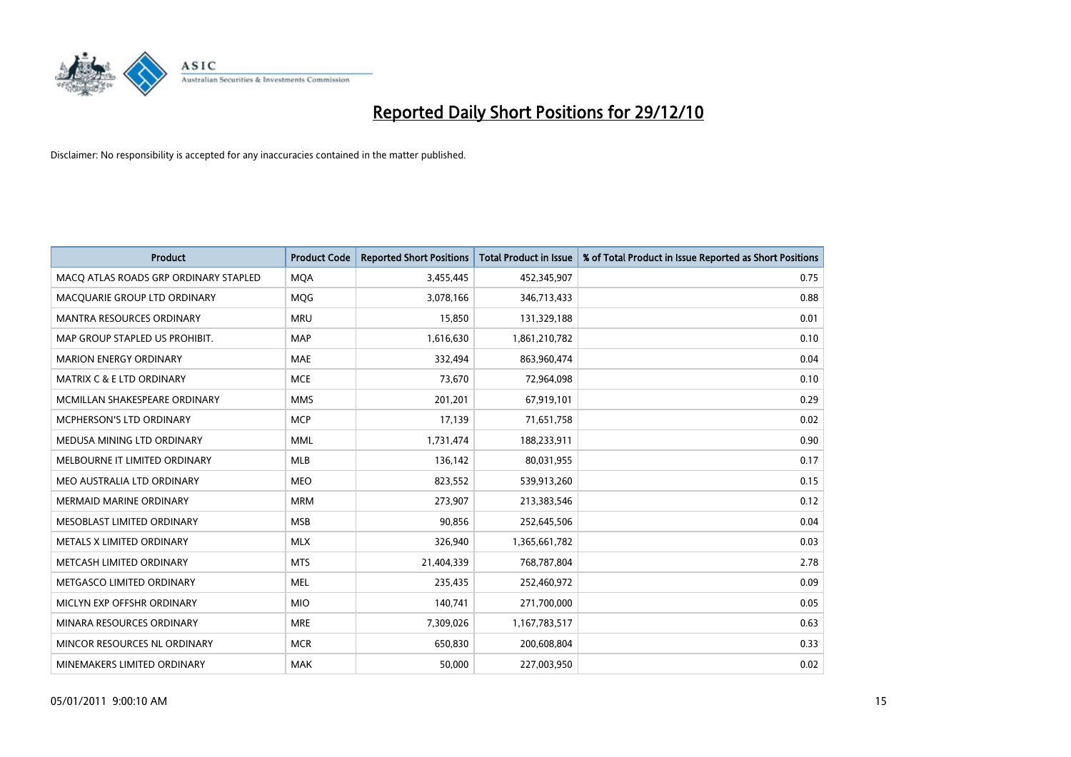

| Product                               | <b>Product Code</b> | <b>Reported Short Positions</b> | <b>Total Product in Issue</b> | % of Total Product in Issue Reported as Short Positions |
|---------------------------------------|---------------------|---------------------------------|-------------------------------|---------------------------------------------------------|
| MACO ATLAS ROADS GRP ORDINARY STAPLED | <b>MQA</b>          | 3,455,445                       | 452,345,907                   | 0.75                                                    |
| MACQUARIE GROUP LTD ORDINARY          | MQG                 | 3,078,166                       | 346,713,433                   | 0.88                                                    |
| <b>MANTRA RESOURCES ORDINARY</b>      | <b>MRU</b>          | 15,850                          | 131,329,188                   | 0.01                                                    |
| MAP GROUP STAPLED US PROHIBIT.        | <b>MAP</b>          | 1,616,630                       | 1,861,210,782                 | 0.10                                                    |
| <b>MARION ENERGY ORDINARY</b>         | MAE                 | 332,494                         | 863,960,474                   | 0.04                                                    |
| <b>MATRIX C &amp; E LTD ORDINARY</b>  | <b>MCE</b>          | 73,670                          | 72,964,098                    | 0.10                                                    |
| MCMILLAN SHAKESPEARE ORDINARY         | <b>MMS</b>          | 201,201                         | 67,919,101                    | 0.29                                                    |
| MCPHERSON'S LTD ORDINARY              | <b>MCP</b>          | 17,139                          | 71,651,758                    | 0.02                                                    |
| MEDUSA MINING LTD ORDINARY            | <b>MML</b>          | 1,731,474                       | 188,233,911                   | 0.90                                                    |
| MELBOURNE IT LIMITED ORDINARY         | MLB                 | 136,142                         | 80,031,955                    | 0.17                                                    |
| MEO AUSTRALIA LTD ORDINARY            | <b>MEO</b>          | 823,552                         | 539,913,260                   | 0.15                                                    |
| <b>MERMAID MARINE ORDINARY</b>        | <b>MRM</b>          | 273,907                         | 213,383,546                   | 0.12                                                    |
| MESOBLAST LIMITED ORDINARY            | <b>MSB</b>          | 90,856                          | 252,645,506                   | 0.04                                                    |
| METALS X LIMITED ORDINARY             | <b>MLX</b>          | 326,940                         | 1,365,661,782                 | 0.03                                                    |
| METCASH LIMITED ORDINARY              | <b>MTS</b>          | 21,404,339                      | 768,787,804                   | 2.78                                                    |
| METGASCO LIMITED ORDINARY             | MEL                 | 235,435                         | 252,460,972                   | 0.09                                                    |
| MICLYN EXP OFFSHR ORDINARY            | <b>MIO</b>          | 140,741                         | 271,700,000                   | 0.05                                                    |
| MINARA RESOURCES ORDINARY             | <b>MRE</b>          | 7,309,026                       | 1,167,783,517                 | 0.63                                                    |
| MINCOR RESOURCES NL ORDINARY          | <b>MCR</b>          | 650,830                         | 200,608,804                   | 0.33                                                    |
| MINEMAKERS LIMITED ORDINARY           | <b>MAK</b>          | 50,000                          | 227,003,950                   | 0.02                                                    |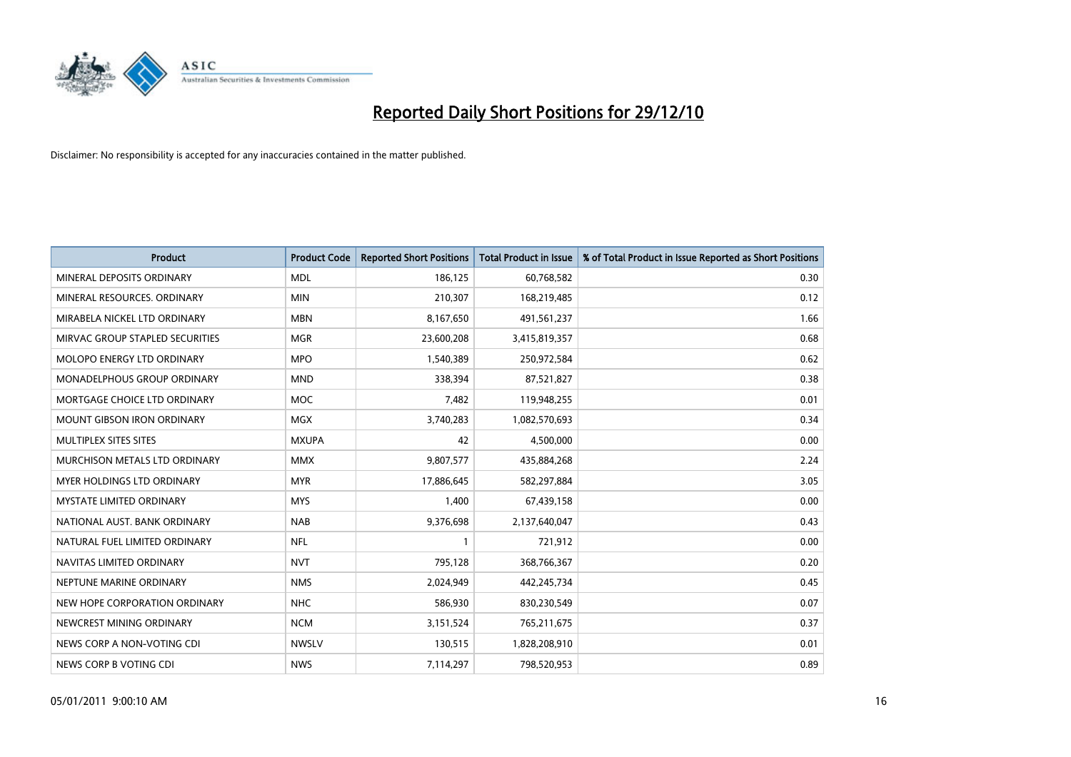

| Product                           | <b>Product Code</b> | <b>Reported Short Positions</b> | <b>Total Product in Issue</b> | % of Total Product in Issue Reported as Short Positions |
|-----------------------------------|---------------------|---------------------------------|-------------------------------|---------------------------------------------------------|
| MINERAL DEPOSITS ORDINARY         | <b>MDL</b>          | 186,125                         | 60,768,582                    | 0.30                                                    |
| MINERAL RESOURCES, ORDINARY       | <b>MIN</b>          | 210,307                         | 168,219,485                   | 0.12                                                    |
| MIRABELA NICKEL LTD ORDINARY      | <b>MBN</b>          | 8,167,650                       | 491,561,237                   | 1.66                                                    |
| MIRVAC GROUP STAPLED SECURITIES   | <b>MGR</b>          | 23,600,208                      | 3,415,819,357                 | 0.68                                                    |
| MOLOPO ENERGY LTD ORDINARY        | <b>MPO</b>          | 1,540,389                       | 250,972,584                   | 0.62                                                    |
| MONADELPHOUS GROUP ORDINARY       | <b>MND</b>          | 338,394                         | 87,521,827                    | 0.38                                                    |
| MORTGAGE CHOICE LTD ORDINARY      | MOC                 | 7,482                           | 119,948,255                   | 0.01                                                    |
| <b>MOUNT GIBSON IRON ORDINARY</b> | <b>MGX</b>          | 3,740,283                       | 1,082,570,693                 | 0.34                                                    |
| MULTIPLEX SITES SITES             | <b>MXUPA</b>        | 42                              | 4,500,000                     | 0.00                                                    |
| MURCHISON METALS LTD ORDINARY     | <b>MMX</b>          | 9,807,577                       | 435,884,268                   | 2.24                                                    |
| MYER HOLDINGS LTD ORDINARY        | <b>MYR</b>          | 17,886,645                      | 582,297,884                   | 3.05                                                    |
| MYSTATE LIMITED ORDINARY          | <b>MYS</b>          | 1,400                           | 67,439,158                    | 0.00                                                    |
| NATIONAL AUST. BANK ORDINARY      | <b>NAB</b>          | 9,376,698                       | 2,137,640,047                 | 0.43                                                    |
| NATURAL FUEL LIMITED ORDINARY     | <b>NFL</b>          | 1                               | 721,912                       | 0.00                                                    |
| NAVITAS LIMITED ORDINARY          | <b>NVT</b>          | 795,128                         | 368,766,367                   | 0.20                                                    |
| NEPTUNE MARINE ORDINARY           | <b>NMS</b>          | 2,024,949                       | 442,245,734                   | 0.45                                                    |
| NEW HOPE CORPORATION ORDINARY     | <b>NHC</b>          | 586,930                         | 830,230,549                   | 0.07                                                    |
| NEWCREST MINING ORDINARY          | <b>NCM</b>          | 3,151,524                       | 765,211,675                   | 0.37                                                    |
| NEWS CORP A NON-VOTING CDI        | <b>NWSLV</b>        | 130,515                         | 1,828,208,910                 | 0.01                                                    |
| NEWS CORP B VOTING CDI            | <b>NWS</b>          | 7,114,297                       | 798,520,953                   | 0.89                                                    |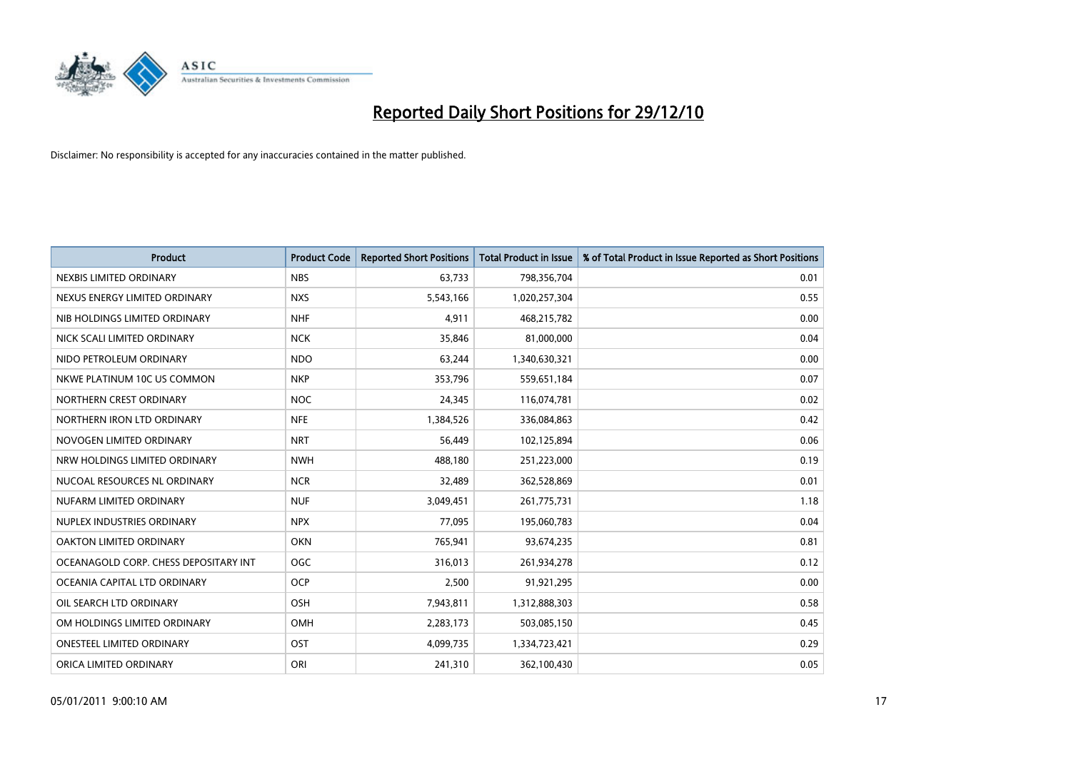

| Product                               | <b>Product Code</b> | <b>Reported Short Positions</b> | <b>Total Product in Issue</b> | % of Total Product in Issue Reported as Short Positions |
|---------------------------------------|---------------------|---------------------------------|-------------------------------|---------------------------------------------------------|
| NEXBIS LIMITED ORDINARY               | <b>NBS</b>          | 63,733                          | 798,356,704                   | 0.01                                                    |
| NEXUS ENERGY LIMITED ORDINARY         | <b>NXS</b>          | 5,543,166                       | 1,020,257,304                 | 0.55                                                    |
| NIB HOLDINGS LIMITED ORDINARY         | <b>NHF</b>          | 4,911                           | 468,215,782                   | 0.00                                                    |
| NICK SCALI LIMITED ORDINARY           | <b>NCK</b>          | 35,846                          | 81,000,000                    | 0.04                                                    |
| NIDO PETROLEUM ORDINARY               | <b>NDO</b>          | 63,244                          | 1,340,630,321                 | 0.00                                                    |
| NKWE PLATINUM 10C US COMMON           | <b>NKP</b>          | 353,796                         | 559,651,184                   | 0.07                                                    |
| NORTHERN CREST ORDINARY               | <b>NOC</b>          | 24,345                          | 116,074,781                   | 0.02                                                    |
| NORTHERN IRON LTD ORDINARY            | <b>NFE</b>          | 1,384,526                       | 336,084,863                   | 0.42                                                    |
| NOVOGEN LIMITED ORDINARY              | <b>NRT</b>          | 56,449                          | 102,125,894                   | 0.06                                                    |
| NRW HOLDINGS LIMITED ORDINARY         | <b>NWH</b>          | 488,180                         | 251,223,000                   | 0.19                                                    |
| NUCOAL RESOURCES NL ORDINARY          | <b>NCR</b>          | 32,489                          | 362,528,869                   | 0.01                                                    |
| NUFARM LIMITED ORDINARY               | <b>NUF</b>          | 3,049,451                       | 261,775,731                   | 1.18                                                    |
| NUPLEX INDUSTRIES ORDINARY            | <b>NPX</b>          | 77,095                          | 195,060,783                   | 0.04                                                    |
| OAKTON LIMITED ORDINARY               | <b>OKN</b>          | 765,941                         | 93,674,235                    | 0.81                                                    |
| OCEANAGOLD CORP. CHESS DEPOSITARY INT | OGC                 | 316,013                         | 261,934,278                   | 0.12                                                    |
| OCEANIA CAPITAL LTD ORDINARY          | <b>OCP</b>          | 2,500                           | 91,921,295                    | 0.00                                                    |
| OIL SEARCH LTD ORDINARY               | OSH                 | 7,943,811                       | 1,312,888,303                 | 0.58                                                    |
| OM HOLDINGS LIMITED ORDINARY          | OMH                 | 2,283,173                       | 503,085,150                   | 0.45                                                    |
| <b>ONESTEEL LIMITED ORDINARY</b>      | OST                 | 4,099,735                       | 1,334,723,421                 | 0.29                                                    |
| ORICA LIMITED ORDINARY                | ORI                 | 241,310                         | 362,100,430                   | 0.05                                                    |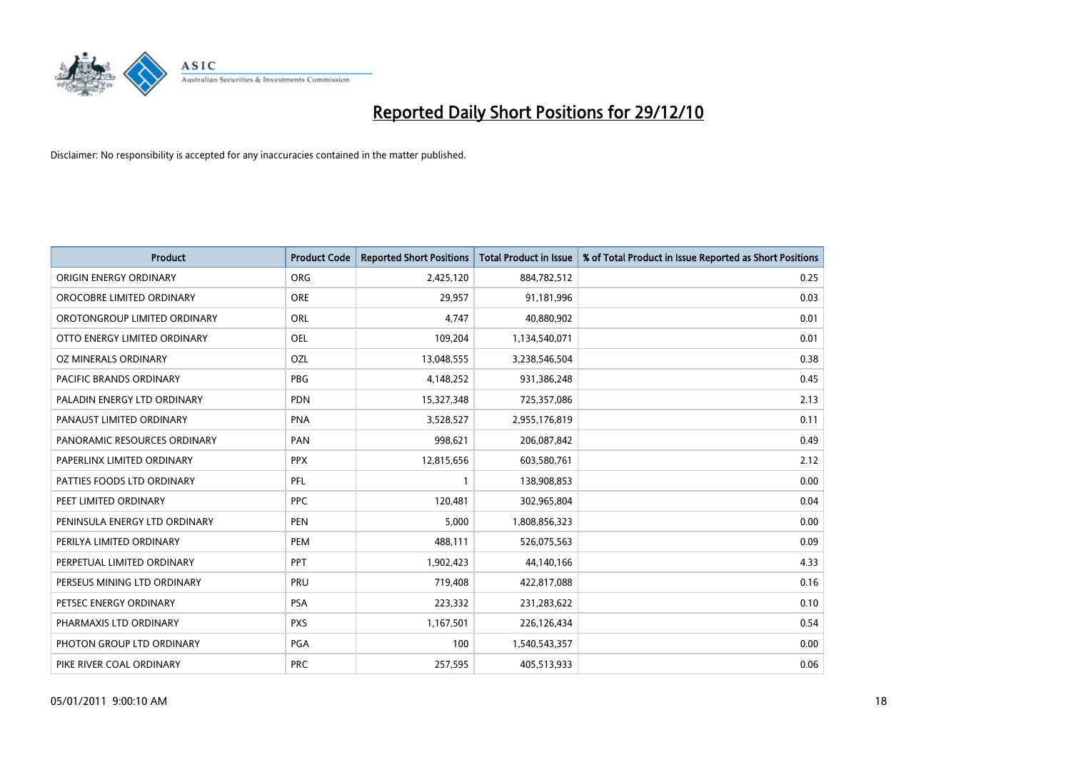

| Product                        | <b>Product Code</b> | <b>Reported Short Positions</b> | <b>Total Product in Issue</b> | % of Total Product in Issue Reported as Short Positions |
|--------------------------------|---------------------|---------------------------------|-------------------------------|---------------------------------------------------------|
| ORIGIN ENERGY ORDINARY         | <b>ORG</b>          | 2,425,120                       | 884,782,512                   | 0.25                                                    |
| OROCOBRE LIMITED ORDINARY      | <b>ORE</b>          | 29,957                          | 91,181,996                    | 0.03                                                    |
| OROTONGROUP LIMITED ORDINARY   | <b>ORL</b>          | 4,747                           | 40,880,902                    | 0.01                                                    |
| OTTO ENERGY LIMITED ORDINARY   | <b>OEL</b>          | 109,204                         | 1,134,540,071                 | 0.01                                                    |
| <b>OZ MINERALS ORDINARY</b>    | OZL                 | 13,048,555                      | 3,238,546,504                 | 0.38                                                    |
| <b>PACIFIC BRANDS ORDINARY</b> | <b>PBG</b>          | 4,148,252                       | 931,386,248                   | 0.45                                                    |
| PALADIN ENERGY LTD ORDINARY    | <b>PDN</b>          | 15,327,348                      | 725,357,086                   | 2.13                                                    |
| PANAUST LIMITED ORDINARY       | <b>PNA</b>          | 3,528,527                       | 2,955,176,819                 | 0.11                                                    |
| PANORAMIC RESOURCES ORDINARY   | PAN                 | 998,621                         | 206,087,842                   | 0.49                                                    |
| PAPERLINX LIMITED ORDINARY     | <b>PPX</b>          | 12,815,656                      | 603,580,761                   | 2.12                                                    |
| PATTIES FOODS LTD ORDINARY     | PFL                 | 1                               | 138,908,853                   | 0.00                                                    |
| PEET LIMITED ORDINARY          | <b>PPC</b>          | 120,481                         | 302,965,804                   | 0.04                                                    |
| PENINSULA ENERGY LTD ORDINARY  | <b>PEN</b>          | 5,000                           | 1,808,856,323                 | 0.00                                                    |
| PERILYA LIMITED ORDINARY       | PEM                 | 488,111                         | 526,075,563                   | 0.09                                                    |
| PERPETUAL LIMITED ORDINARY     | <b>PPT</b>          | 1,902,423                       | 44,140,166                    | 4.33                                                    |
| PERSEUS MINING LTD ORDINARY    | PRU                 | 719,408                         | 422,817,088                   | 0.16                                                    |
| PETSEC ENERGY ORDINARY         | <b>PSA</b>          | 223,332                         | 231,283,622                   | 0.10                                                    |
| PHARMAXIS LTD ORDINARY         | <b>PXS</b>          | 1,167,501                       | 226,126,434                   | 0.54                                                    |
| PHOTON GROUP LTD ORDINARY      | PGA                 | 100                             | 1,540,543,357                 | 0.00                                                    |
| PIKE RIVER COAL ORDINARY       | <b>PRC</b>          | 257,595                         | 405,513,933                   | 0.06                                                    |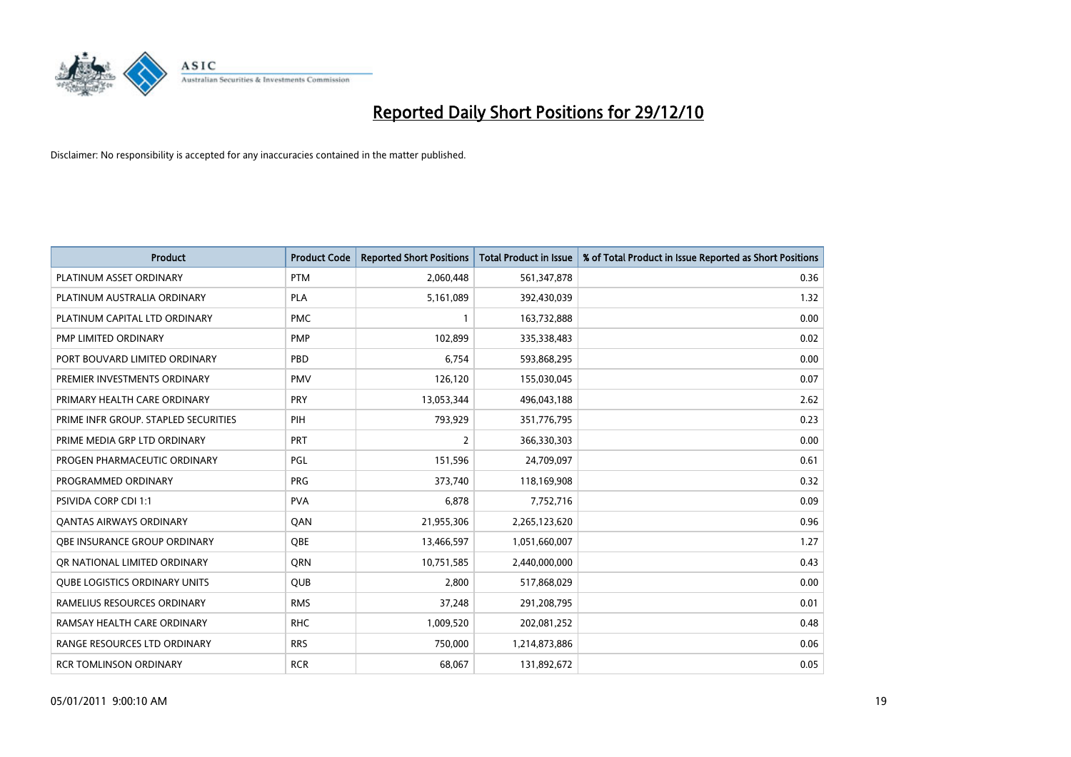

| Product                              | <b>Product Code</b> | <b>Reported Short Positions</b> | <b>Total Product in Issue</b> | % of Total Product in Issue Reported as Short Positions |
|--------------------------------------|---------------------|---------------------------------|-------------------------------|---------------------------------------------------------|
| PLATINUM ASSET ORDINARY              | <b>PTM</b>          | 2,060,448                       | 561,347,878                   | 0.36                                                    |
| PLATINUM AUSTRALIA ORDINARY          | <b>PLA</b>          | 5,161,089                       | 392,430,039                   | 1.32                                                    |
| PLATINUM CAPITAL LTD ORDINARY        | <b>PMC</b>          | 1                               | 163,732,888                   | 0.00                                                    |
| PMP LIMITED ORDINARY                 | <b>PMP</b>          | 102,899                         | 335,338,483                   | 0.02                                                    |
| PORT BOUVARD LIMITED ORDINARY        | PBD                 | 6,754                           | 593,868,295                   | 0.00                                                    |
| PREMIER INVESTMENTS ORDINARY         | <b>PMV</b>          | 126,120                         | 155,030,045                   | 0.07                                                    |
| PRIMARY HEALTH CARE ORDINARY         | <b>PRY</b>          | 13,053,344                      | 496,043,188                   | 2.62                                                    |
| PRIME INFR GROUP. STAPLED SECURITIES | PIH                 | 793,929                         | 351,776,795                   | 0.23                                                    |
| PRIME MEDIA GRP LTD ORDINARY         | <b>PRT</b>          | 2                               | 366,330,303                   | 0.00                                                    |
| PROGEN PHARMACEUTIC ORDINARY         | PGL                 | 151,596                         | 24,709,097                    | 0.61                                                    |
| PROGRAMMED ORDINARY                  | <b>PRG</b>          | 373,740                         | 118,169,908                   | 0.32                                                    |
| PSIVIDA CORP CDI 1:1                 | <b>PVA</b>          | 6,878                           | 7,752,716                     | 0.09                                                    |
| <b>QANTAS AIRWAYS ORDINARY</b>       | QAN                 | 21,955,306                      | 2,265,123,620                 | 0.96                                                    |
| OBE INSURANCE GROUP ORDINARY         | <b>OBE</b>          | 13,466,597                      | 1,051,660,007                 | 1.27                                                    |
| OR NATIONAL LIMITED ORDINARY         | <b>ORN</b>          | 10,751,585                      | 2,440,000,000                 | 0.43                                                    |
| <b>QUBE LOGISTICS ORDINARY UNITS</b> | <b>QUB</b>          | 2,800                           | 517,868,029                   | 0.00                                                    |
| RAMELIUS RESOURCES ORDINARY          | <b>RMS</b>          | 37,248                          | 291,208,795                   | 0.01                                                    |
| RAMSAY HEALTH CARE ORDINARY          | <b>RHC</b>          | 1,009,520                       | 202,081,252                   | 0.48                                                    |
| RANGE RESOURCES LTD ORDINARY         | <b>RRS</b>          | 750,000                         | 1,214,873,886                 | 0.06                                                    |
| <b>RCR TOMLINSON ORDINARY</b>        | <b>RCR</b>          | 68,067                          | 131,892,672                   | 0.05                                                    |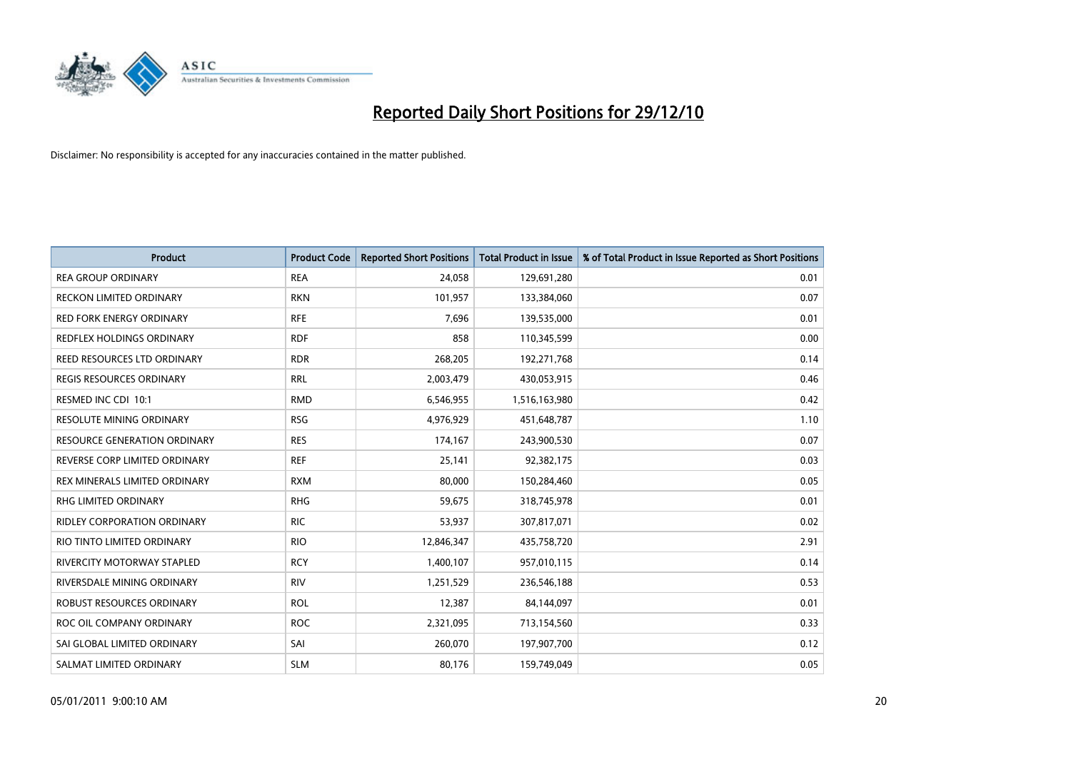

| Product                             | <b>Product Code</b> | <b>Reported Short Positions</b> | <b>Total Product in Issue</b> | % of Total Product in Issue Reported as Short Positions |
|-------------------------------------|---------------------|---------------------------------|-------------------------------|---------------------------------------------------------|
| <b>REA GROUP ORDINARY</b>           | <b>REA</b>          | 24,058                          | 129,691,280                   | 0.01                                                    |
| RECKON LIMITED ORDINARY             | <b>RKN</b>          | 101,957                         | 133,384,060                   | 0.07                                                    |
| <b>RED FORK ENERGY ORDINARY</b>     | <b>RFE</b>          | 7,696                           | 139,535,000                   | 0.01                                                    |
| REDFLEX HOLDINGS ORDINARY           | <b>RDF</b>          | 858                             | 110,345,599                   | 0.00                                                    |
| REED RESOURCES LTD ORDINARY         | <b>RDR</b>          | 268,205                         | 192,271,768                   | 0.14                                                    |
| <b>REGIS RESOURCES ORDINARY</b>     | <b>RRL</b>          | 2,003,479                       | 430,053,915                   | 0.46                                                    |
| RESMED INC CDI 10:1                 | <b>RMD</b>          | 6,546,955                       | 1,516,163,980                 | 0.42                                                    |
| <b>RESOLUTE MINING ORDINARY</b>     | <b>RSG</b>          | 4,976,929                       | 451,648,787                   | 1.10                                                    |
| <b>RESOURCE GENERATION ORDINARY</b> | <b>RES</b>          | 174,167                         | 243,900,530                   | 0.07                                                    |
| REVERSE CORP LIMITED ORDINARY       | <b>REF</b>          | 25,141                          | 92,382,175                    | 0.03                                                    |
| REX MINERALS LIMITED ORDINARY       | <b>RXM</b>          | 80,000                          | 150,284,460                   | 0.05                                                    |
| <b>RHG LIMITED ORDINARY</b>         | <b>RHG</b>          | 59,675                          | 318,745,978                   | 0.01                                                    |
| RIDLEY CORPORATION ORDINARY         | <b>RIC</b>          | 53,937                          | 307,817,071                   | 0.02                                                    |
| RIO TINTO LIMITED ORDINARY          | <b>RIO</b>          | 12,846,347                      | 435,758,720                   | 2.91                                                    |
| <b>RIVERCITY MOTORWAY STAPLED</b>   | <b>RCY</b>          | 1,400,107                       | 957,010,115                   | 0.14                                                    |
| RIVERSDALE MINING ORDINARY          | <b>RIV</b>          | 1,251,529                       | 236,546,188                   | 0.53                                                    |
| ROBUST RESOURCES ORDINARY           | <b>ROL</b>          | 12,387                          | 84,144,097                    | 0.01                                                    |
| ROC OIL COMPANY ORDINARY            | <b>ROC</b>          | 2,321,095                       | 713,154,560                   | 0.33                                                    |
| SAI GLOBAL LIMITED ORDINARY         | SAI                 | 260,070                         | 197,907,700                   | 0.12                                                    |
| SALMAT LIMITED ORDINARY             | <b>SLM</b>          | 80,176                          | 159,749,049                   | 0.05                                                    |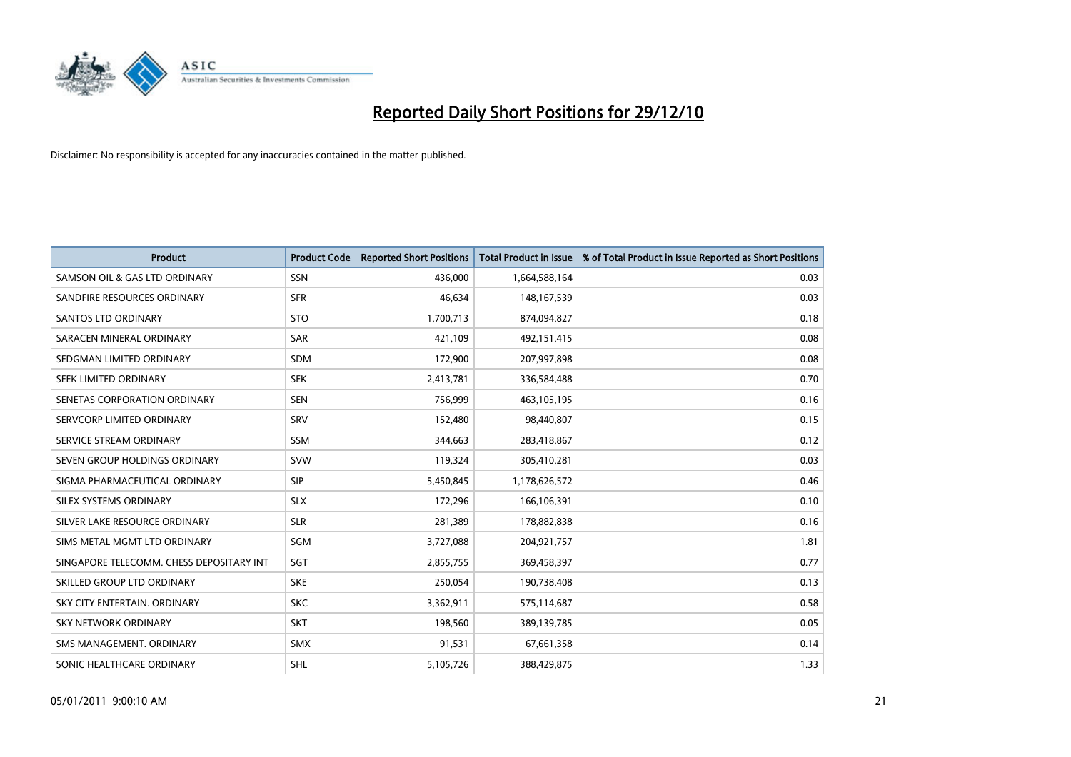

| <b>Product</b>                           | <b>Product Code</b> | <b>Reported Short Positions</b> | <b>Total Product in Issue</b> | % of Total Product in Issue Reported as Short Positions |
|------------------------------------------|---------------------|---------------------------------|-------------------------------|---------------------------------------------------------|
| SAMSON OIL & GAS LTD ORDINARY            | SSN                 | 436,000                         | 1,664,588,164                 | 0.03                                                    |
| SANDFIRE RESOURCES ORDINARY              | <b>SFR</b>          | 46,634                          | 148, 167, 539                 | 0.03                                                    |
| <b>SANTOS LTD ORDINARY</b>               | <b>STO</b>          | 1,700,713                       | 874,094,827                   | 0.18                                                    |
| SARACEN MINERAL ORDINARY                 | <b>SAR</b>          | 421.109                         | 492,151,415                   | 0.08                                                    |
| SEDGMAN LIMITED ORDINARY                 | <b>SDM</b>          | 172,900                         | 207,997,898                   | 0.08                                                    |
| SEEK LIMITED ORDINARY                    | <b>SEK</b>          | 2,413,781                       | 336,584,488                   | 0.70                                                    |
| SENETAS CORPORATION ORDINARY             | <b>SEN</b>          | 756,999                         | 463,105,195                   | 0.16                                                    |
| SERVCORP LIMITED ORDINARY                | SRV                 | 152,480                         | 98,440,807                    | 0.15                                                    |
| SERVICE STREAM ORDINARY                  | <b>SSM</b>          | 344,663                         | 283,418,867                   | 0.12                                                    |
| SEVEN GROUP HOLDINGS ORDINARY            | <b>SVW</b>          | 119,324                         | 305,410,281                   | 0.03                                                    |
| SIGMA PHARMACEUTICAL ORDINARY            | <b>SIP</b>          | 5,450,845                       | 1,178,626,572                 | 0.46                                                    |
| SILEX SYSTEMS ORDINARY                   | <b>SLX</b>          | 172,296                         | 166,106,391                   | 0.10                                                    |
| SILVER LAKE RESOURCE ORDINARY            | <b>SLR</b>          | 281,389                         | 178,882,838                   | 0.16                                                    |
| SIMS METAL MGMT LTD ORDINARY             | SGM                 | 3,727,088                       | 204,921,757                   | 1.81                                                    |
| SINGAPORE TELECOMM. CHESS DEPOSITARY INT | SGT                 | 2,855,755                       | 369,458,397                   | 0.77                                                    |
| SKILLED GROUP LTD ORDINARY               | <b>SKE</b>          | 250,054                         | 190,738,408                   | 0.13                                                    |
| SKY CITY ENTERTAIN. ORDINARY             | <b>SKC</b>          | 3,362,911                       | 575,114,687                   | 0.58                                                    |
| <b>SKY NETWORK ORDINARY</b>              | <b>SKT</b>          | 198,560                         | 389,139,785                   | 0.05                                                    |
| SMS MANAGEMENT, ORDINARY                 | <b>SMX</b>          | 91,531                          | 67,661,358                    | 0.14                                                    |
| SONIC HEALTHCARE ORDINARY                | <b>SHL</b>          | 5,105,726                       | 388,429,875                   | 1.33                                                    |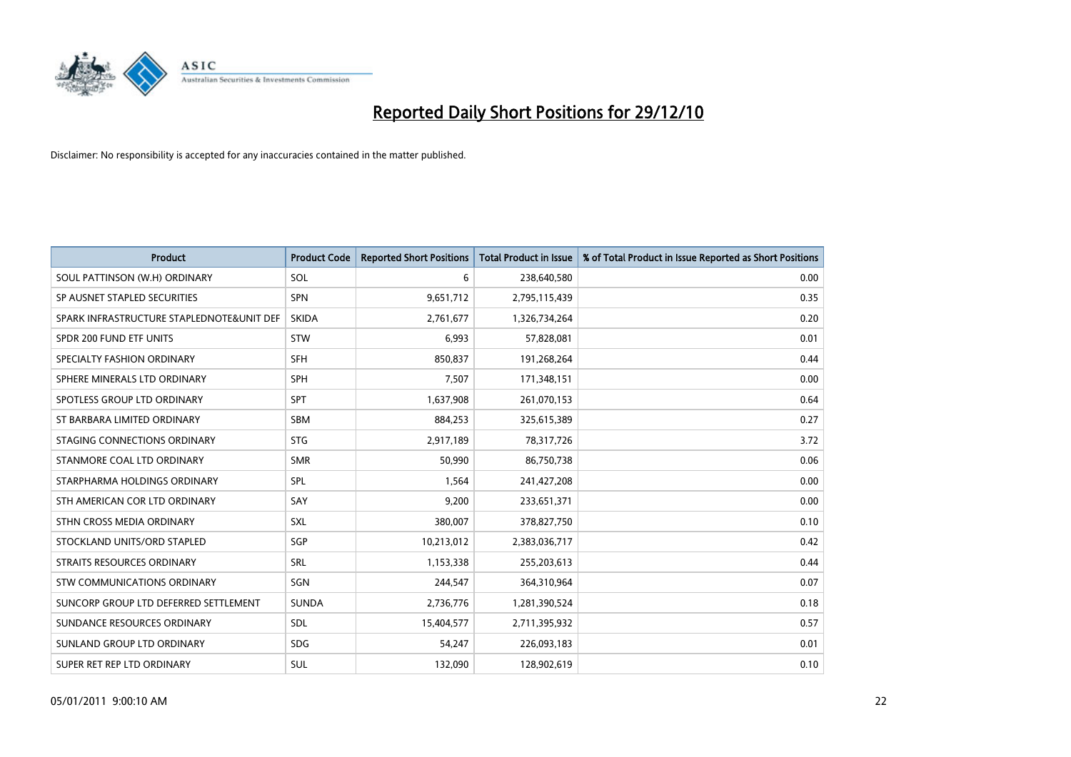

| <b>Product</b>                            | <b>Product Code</b> | <b>Reported Short Positions</b> | <b>Total Product in Issue</b> | % of Total Product in Issue Reported as Short Positions |
|-------------------------------------------|---------------------|---------------------------------|-------------------------------|---------------------------------------------------------|
| SOUL PATTINSON (W.H) ORDINARY             | SOL                 | 6                               | 238,640,580                   | 0.00                                                    |
| SP AUSNET STAPLED SECURITIES              | <b>SPN</b>          | 9,651,712                       | 2,795,115,439                 | 0.35                                                    |
| SPARK INFRASTRUCTURE STAPLEDNOTE&UNIT DEF | <b>SKIDA</b>        | 2,761,677                       | 1,326,734,264                 | 0.20                                                    |
| SPDR 200 FUND ETF UNITS                   | <b>STW</b>          | 6,993                           | 57,828,081                    | 0.01                                                    |
| SPECIALTY FASHION ORDINARY                | <b>SFH</b>          | 850,837                         | 191,268,264                   | 0.44                                                    |
| SPHERE MINERALS LTD ORDINARY              | <b>SPH</b>          | 7,507                           | 171,348,151                   | 0.00                                                    |
| SPOTLESS GROUP LTD ORDINARY               | <b>SPT</b>          | 1,637,908                       | 261,070,153                   | 0.64                                                    |
| ST BARBARA LIMITED ORDINARY               | <b>SBM</b>          | 884,253                         | 325,615,389                   | 0.27                                                    |
| STAGING CONNECTIONS ORDINARY              | <b>STG</b>          | 2,917,189                       | 78,317,726                    | 3.72                                                    |
| STANMORE COAL LTD ORDINARY                | <b>SMR</b>          | 50,990                          | 86,750,738                    | 0.06                                                    |
| STARPHARMA HOLDINGS ORDINARY              | SPL                 | 1,564                           | 241,427,208                   | 0.00                                                    |
| STH AMERICAN COR LTD ORDINARY             | SAY                 | 9,200                           | 233,651,371                   | 0.00                                                    |
| STHN CROSS MEDIA ORDINARY                 | <b>SXL</b>          | 380,007                         | 378,827,750                   | 0.10                                                    |
| STOCKLAND UNITS/ORD STAPLED               | <b>SGP</b>          | 10,213,012                      | 2,383,036,717                 | 0.42                                                    |
| STRAITS RESOURCES ORDINARY                | <b>SRL</b>          | 1,153,338                       | 255,203,613                   | 0.44                                                    |
| STW COMMUNICATIONS ORDINARY               | SGN                 | 244,547                         | 364,310,964                   | 0.07                                                    |
| SUNCORP GROUP LTD DEFERRED SETTLEMENT     | <b>SUNDA</b>        | 2,736,776                       | 1,281,390,524                 | 0.18                                                    |
| SUNDANCE RESOURCES ORDINARY               | SDL                 | 15,404,577                      | 2,711,395,932                 | 0.57                                                    |
| SUNLAND GROUP LTD ORDINARY                | <b>SDG</b>          | 54,247                          | 226,093,183                   | 0.01                                                    |
| SUPER RET REP LTD ORDINARY                | SUL                 | 132,090                         | 128,902,619                   | 0.10                                                    |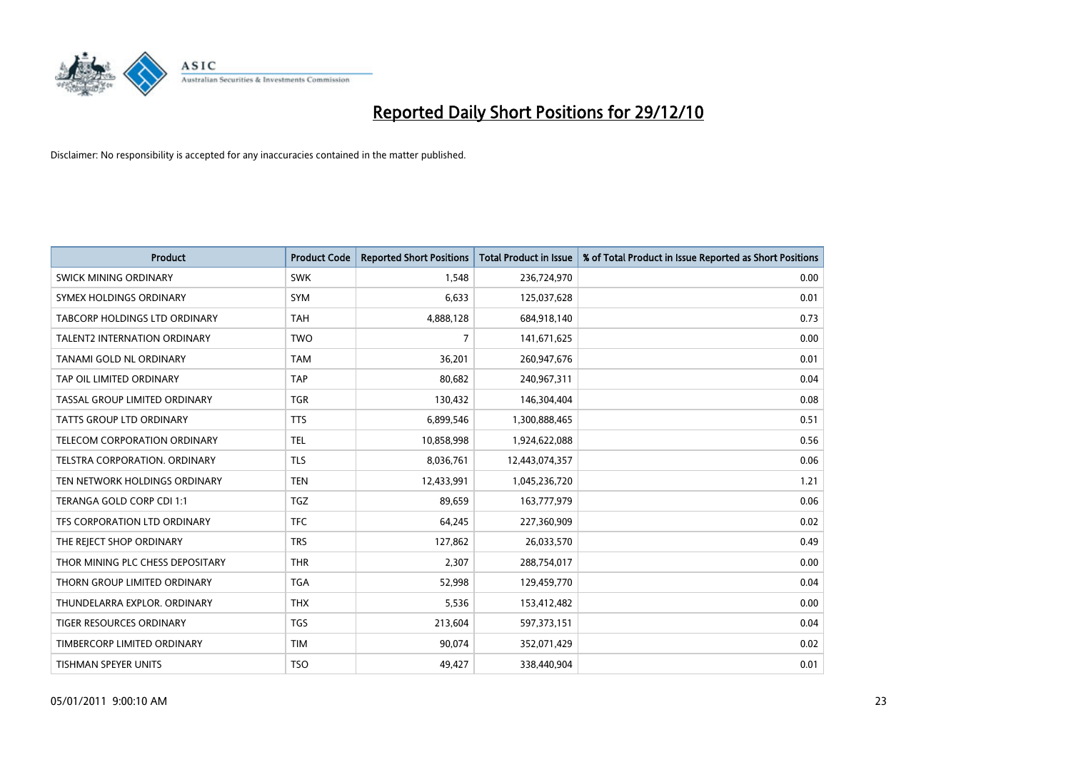

| <b>Product</b>                       | <b>Product Code</b> | <b>Reported Short Positions</b> | <b>Total Product in Issue</b> | % of Total Product in Issue Reported as Short Positions |
|--------------------------------------|---------------------|---------------------------------|-------------------------------|---------------------------------------------------------|
| SWICK MINING ORDINARY                | <b>SWK</b>          | 1,548                           | 236,724,970                   | 0.00                                                    |
| SYMEX HOLDINGS ORDINARY              | SYM                 | 6,633                           | 125,037,628                   | 0.01                                                    |
| <b>TABCORP HOLDINGS LTD ORDINARY</b> | <b>TAH</b>          | 4,888,128                       | 684,918,140                   | 0.73                                                    |
| TALENT2 INTERNATION ORDINARY         | <b>TWO</b>          | 7                               | 141,671,625                   | 0.00                                                    |
| TANAMI GOLD NL ORDINARY              | <b>TAM</b>          | 36,201                          | 260,947,676                   | 0.01                                                    |
| TAP OIL LIMITED ORDINARY             | <b>TAP</b>          | 80,682                          | 240,967,311                   | 0.04                                                    |
| TASSAL GROUP LIMITED ORDINARY        | <b>TGR</b>          | 130,432                         | 146,304,404                   | 0.08                                                    |
| TATTS GROUP LTD ORDINARY             | <b>TTS</b>          | 6,899,546                       | 1,300,888,465                 | 0.51                                                    |
| TELECOM CORPORATION ORDINARY         | <b>TEL</b>          | 10,858,998                      | 1,924,622,088                 | 0.56                                                    |
| TELSTRA CORPORATION, ORDINARY        | <b>TLS</b>          | 8,036,761                       | 12,443,074,357                | 0.06                                                    |
| TEN NETWORK HOLDINGS ORDINARY        | <b>TEN</b>          | 12,433,991                      | 1,045,236,720                 | 1.21                                                    |
| TERANGA GOLD CORP CDI 1:1            | <b>TGZ</b>          | 89,659                          | 163,777,979                   | 0.06                                                    |
| TFS CORPORATION LTD ORDINARY         | <b>TFC</b>          | 64,245                          | 227,360,909                   | 0.02                                                    |
| THE REJECT SHOP ORDINARY             | <b>TRS</b>          | 127,862                         | 26,033,570                    | 0.49                                                    |
| THOR MINING PLC CHESS DEPOSITARY     | <b>THR</b>          | 2,307                           | 288,754,017                   | 0.00                                                    |
| THORN GROUP LIMITED ORDINARY         | <b>TGA</b>          | 52,998                          | 129,459,770                   | 0.04                                                    |
| THUNDELARRA EXPLOR. ORDINARY         | <b>THX</b>          | 5,536                           | 153,412,482                   | 0.00                                                    |
| TIGER RESOURCES ORDINARY             | TGS                 | 213,604                         | 597,373,151                   | 0.04                                                    |
| TIMBERCORP LIMITED ORDINARY          | <b>TIM</b>          | 90,074                          | 352,071,429                   | 0.02                                                    |
| TISHMAN SPEYER UNITS                 | <b>TSO</b>          | 49,427                          | 338,440,904                   | 0.01                                                    |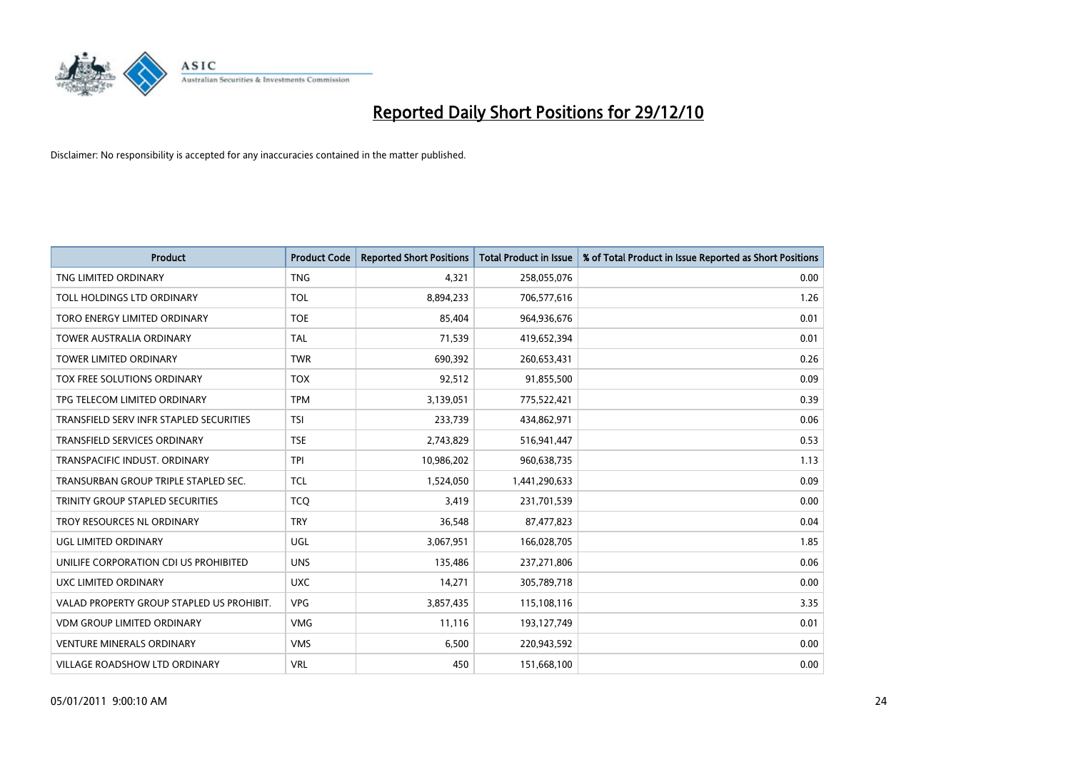

| <b>Product</b>                            | <b>Product Code</b> | <b>Reported Short Positions</b> | <b>Total Product in Issue</b> | % of Total Product in Issue Reported as Short Positions |
|-------------------------------------------|---------------------|---------------------------------|-------------------------------|---------------------------------------------------------|
| TNG LIMITED ORDINARY                      | <b>TNG</b>          | 4.321                           | 258,055,076                   | 0.00                                                    |
| TOLL HOLDINGS LTD ORDINARY                | <b>TOL</b>          | 8,894,233                       | 706,577,616                   | 1.26                                                    |
| TORO ENERGY LIMITED ORDINARY              | <b>TOE</b>          | 85,404                          | 964,936,676                   | 0.01                                                    |
| TOWER AUSTRALIA ORDINARY                  | <b>TAL</b>          | 71,539                          | 419,652,394                   | 0.01                                                    |
| <b>TOWER LIMITED ORDINARY</b>             | <b>TWR</b>          | 690,392                         | 260,653,431                   | 0.26                                                    |
| TOX FREE SOLUTIONS ORDINARY               | <b>TOX</b>          | 92,512                          | 91,855,500                    | 0.09                                                    |
| TPG TELECOM LIMITED ORDINARY              | <b>TPM</b>          | 3,139,051                       | 775,522,421                   | 0.39                                                    |
| TRANSFIELD SERV INFR STAPLED SECURITIES   | <b>TSI</b>          | 233,739                         | 434,862,971                   | 0.06                                                    |
| <b>TRANSFIELD SERVICES ORDINARY</b>       | <b>TSE</b>          | 2,743,829                       | 516,941,447                   | 0.53                                                    |
| TRANSPACIFIC INDUST, ORDINARY             | <b>TPI</b>          | 10,986,202                      | 960,638,735                   | 1.13                                                    |
| TRANSURBAN GROUP TRIPLE STAPLED SEC.      | <b>TCL</b>          | 1,524,050                       | 1,441,290,633                 | 0.09                                                    |
| <b>TRINITY GROUP STAPLED SECURITIES</b>   | <b>TCQ</b>          | 3,419                           | 231,701,539                   | 0.00                                                    |
| TROY RESOURCES NL ORDINARY                | <b>TRY</b>          | 36,548                          | 87,477,823                    | 0.04                                                    |
| UGL LIMITED ORDINARY                      | UGL                 | 3,067,951                       | 166,028,705                   | 1.85                                                    |
| UNILIFE CORPORATION CDI US PROHIBITED     | <b>UNS</b>          | 135,486                         | 237,271,806                   | 0.06                                                    |
| UXC LIMITED ORDINARY                      | <b>UXC</b>          | 14,271                          | 305,789,718                   | 0.00                                                    |
| VALAD PROPERTY GROUP STAPLED US PROHIBIT. | <b>VPG</b>          | 3,857,435                       | 115,108,116                   | 3.35                                                    |
| <b>VDM GROUP LIMITED ORDINARY</b>         | <b>VMG</b>          | 11,116                          | 193,127,749                   | 0.01                                                    |
| <b>VENTURE MINERALS ORDINARY</b>          | <b>VMS</b>          | 6,500                           | 220,943,592                   | 0.00                                                    |
| VILLAGE ROADSHOW LTD ORDINARY             | <b>VRL</b>          | 450                             | 151,668,100                   | 0.00                                                    |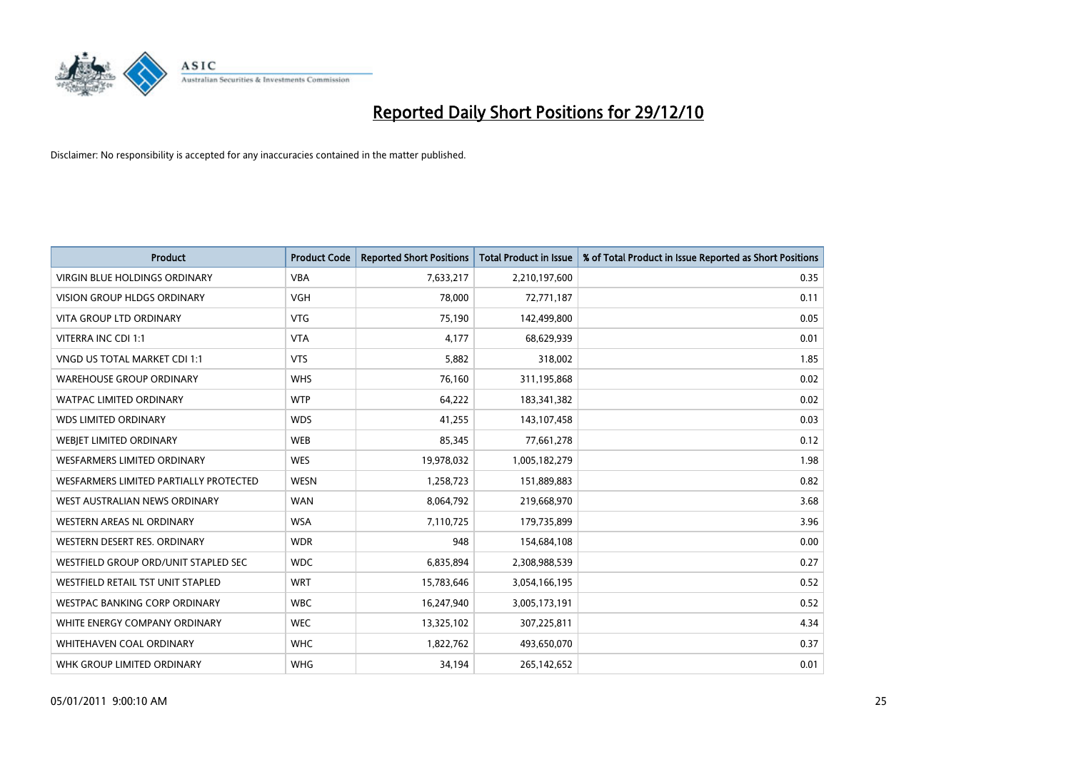

| <b>Product</b>                         | <b>Product Code</b> | <b>Reported Short Positions</b> | Total Product in Issue | % of Total Product in Issue Reported as Short Positions |
|----------------------------------------|---------------------|---------------------------------|------------------------|---------------------------------------------------------|
| <b>VIRGIN BLUE HOLDINGS ORDINARY</b>   | <b>VBA</b>          | 7,633,217                       | 2,210,197,600          | 0.35                                                    |
| <b>VISION GROUP HLDGS ORDINARY</b>     | <b>VGH</b>          | 78,000                          | 72,771,187             | 0.11                                                    |
| <b>VITA GROUP LTD ORDINARY</b>         | <b>VTG</b>          | 75,190                          | 142,499,800            | 0.05                                                    |
| VITERRA INC CDI 1:1                    | <b>VTA</b>          | 4,177                           | 68,629,939             | 0.01                                                    |
| <b>VNGD US TOTAL MARKET CDI 1:1</b>    | <b>VTS</b>          | 5,882                           | 318,002                | 1.85                                                    |
| <b>WAREHOUSE GROUP ORDINARY</b>        | <b>WHS</b>          | 76,160                          | 311,195,868            | 0.02                                                    |
| <b>WATPAC LIMITED ORDINARY</b>         | <b>WTP</b>          | 64,222                          | 183,341,382            | 0.02                                                    |
| <b>WDS LIMITED ORDINARY</b>            | <b>WDS</b>          | 41,255                          | 143,107,458            | 0.03                                                    |
| WEBIET LIMITED ORDINARY                | <b>WEB</b>          | 85,345                          | 77,661,278             | 0.12                                                    |
| <b>WESFARMERS LIMITED ORDINARY</b>     | <b>WES</b>          | 19,978,032                      | 1,005,182,279          | 1.98                                                    |
| WESFARMERS LIMITED PARTIALLY PROTECTED | <b>WESN</b>         | 1,258,723                       | 151,889,883            | 0.82                                                    |
| WEST AUSTRALIAN NEWS ORDINARY          | <b>WAN</b>          | 8,064,792                       | 219,668,970            | 3.68                                                    |
| WESTERN AREAS NL ORDINARY              | <b>WSA</b>          | 7,110,725                       | 179,735,899            | 3.96                                                    |
| WESTERN DESERT RES. ORDINARY           | <b>WDR</b>          | 948                             | 154,684,108            | 0.00                                                    |
| WESTFIELD GROUP ORD/UNIT STAPLED SEC   | <b>WDC</b>          | 6,835,894                       | 2,308,988,539          | 0.27                                                    |
| WESTFIELD RETAIL TST UNIT STAPLED      | <b>WRT</b>          | 15,783,646                      | 3,054,166,195          | 0.52                                                    |
| <b>WESTPAC BANKING CORP ORDINARY</b>   | <b>WBC</b>          | 16,247,940                      | 3,005,173,191          | 0.52                                                    |
| WHITE ENERGY COMPANY ORDINARY          | <b>WEC</b>          | 13,325,102                      | 307,225,811            | 4.34                                                    |
| WHITEHAVEN COAL ORDINARY               | <b>WHC</b>          | 1,822,762                       | 493,650,070            | 0.37                                                    |
| WHK GROUP LIMITED ORDINARY             | <b>WHG</b>          | 34,194                          | 265,142,652            | 0.01                                                    |